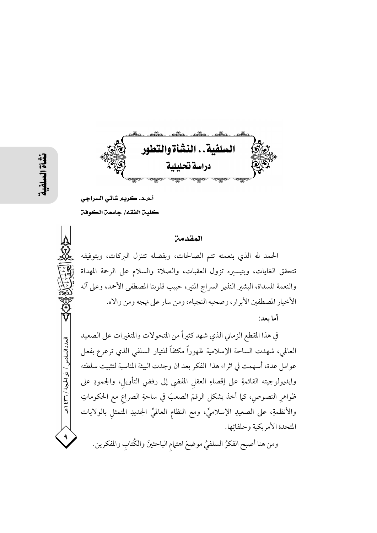

العدد السادس / ذو الحيجة / ٣٦ / ٤٣٩

أ.و.د. كريم شاتي السراجي كلين الفقه/ جامعن الكوفن

#### المقدمة

الحمد لله الذي بنعمته تتم الصالحات، وبفضله تتنزل البركات، وبتوفيقه تتحقق الغايات، وبتيسيره تزول العقبات، والصلاة والسلام على الرحمة المهداة والنعمة المسداة، البشير النذير السراج المنير، حبيب قلوبنا المصطفى الأحمد، وعلى آله الأخيار المصطفين الأبرار، وصحبه النجباء، ومن سار على نهجه ومن والاه. أما ىعد:

في هذا المقطع الزماني الذي شهد كثيراً من المتحولات والمتغيرات على الصعيد العالمي، شهدت الساحة الإسلامية ظهوراً مكثفاً للتيار السلفي الذي ترعرع بفعل عوامل عدة، أسهمت في اثراء هذا الفكر بعد ان وجدت البيئة المناسبة لتثبيت سلطته وايديولوجيته القائمةِ على إقصاءِ العقل المفضى إلى رفضٍ التأويل، والجمودِ على ظواهرِ النصوصِ، كما أخذ يشكل الرقمَ الصعبَ في ساحةِ الصراعِ مع الحكوماتِ والأنظمةِ، على الصعيدِ الإسلاميِّ، ومع النظام العالميِّ الجديدِ المتمثل بالولايات المتحدة الأمريكية وحلفائها.

ومن هنا أصبح الفكرُ السلفيُ موضعَ اهتمام الباحثينَ والكُتابِ والمفكرين.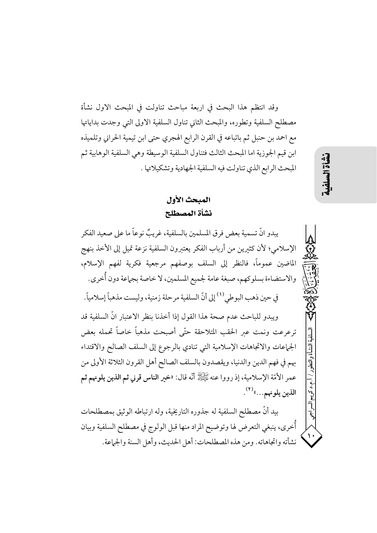وقد انتظم هذا البحث في اربعة مباحث تناولت في المبحث الاول نشأة مصطلح السلفية وتطوره، والمبحث الثاني تناول السلفية الاولى التي وجدت بداياتها مع احمد بن حنبل ثم باتباعه في القرن الرابع الهجري حتى ابن تيمية الحراني وتلميذه ابن قيم الجوزية اما المبحث الثالث فتناول السلفية الوسيطة وهي السلفية الوهابية ثم المبحث الرابع الذي تناولت فيه السلفية الجهادية وتشكيلاتها .

# المبحث الأول نشأة المصطلح

يبدو انَّ تسمية بعض فرق المسلمين بالسلفية، غريبٌ نوعاً ما على صعيد الفكر الإسلامي؛ لأن كثيرين من أرباب الفكر يعتبرون السلفية نزعة تميل إلى الأخذ بنهج الماضين عموماً، فالنظر إلى السلف بوصفهم مرجعية فكرية لفهم الإسلام، والاستضاءة بسلوكهم، صبغة عامة لجميع المسلمين، لا خاصة بجماعة دون أُخرى. في حين ذهب البوطي<sup>(١)</sup> إلى أنّ السلفية مرحلة زمنية، وليست مذهباً إسلامياً.

ويبدو للباحث عدم صحة هذا القول إذا أخذنا بنظر الاعتبار انَّ السلفية قد ترعرعت ونمت عبر الحقب المتلاحقة حتّى أصبحت مذهباً خاصاً تحمله بعض الجماعات والاتجاهات الإسلامية التي تنادي بالرجوع إلى السلف الصالح والاقتداء بهم في فهم الدين والدنيا، ويقصدون بالسلف الصالح أهل القرون الثلاثة الأولى من عمر الأمّة الإسلامية، إذ رووا عنه ﷺ أنّه قال: «خير الناس قرني ثم الذين يلونهم ثم الذين يلونهم....»(٢).

بيد أنَّ مصطلح السلفية له جذوره التاريخية، وله ارتباطه الوثيق بمصطلحات أخرى، ينبغي التعرض لها وتوضيح المراد منها قبل الولوج في مصطلح السلفية وبيان نشأته واتجاهاته. ومن هذه المصطلحات: أهل الحديث، وأهل السنة والجماعة.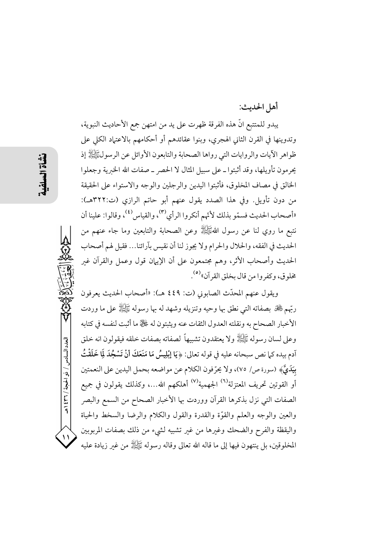أهل الحديث:

يبدو للمتتبع انَّ هذه الفرقة ظهرت على يد من امتهن جمع الأحاديث النبوية، وتدوينها في القرن الثاني الهجري، وبنوا عقائدهم أو أحكامهم بالاعتياد الكلى على ظواهر الآيات والروايات التي رواها الصحابة والتابعون الأوائل عن الرسولﷺ إذ يحرمون تأويلها، وقد أثبتوا ـ على سبيل المثال لا الحصر \_ صفات الله الخبرية وجعلوا الخالق في مصاف المخلوق، فأثبتوا اليدين والرجلين والوجه والاستواء على الحقيقة من دون تأويل. وفي هذا الصدد يقول عنهم أبو حاتم الرازي (ت:٣٢٢هـ): «أصحاب الحديث فسمّو بذلك لأنّهم أنكروا الرأي°"، والقياس°، وقالوا: علينا أن نتبع ما روى لنا عن رسول اللهُﷺ وعن الصحابة والتابعين وما جاء عنهم من الحديث في الفقه، والحلال والحرام ولا يجوز لنا أن نقيس بآرائنا… فقيل لهم أصحاب الحديث وأصحاب الأثر، وهم مجتمعون على أن الإيهان قول وعمل والقرآن غير مخلوق، وكفروا من قال بخلق القر آن»<sup>(٥)</sup>.

ويقول عنهم المحدّث الصابوني (ت: ٤٤٩ هـ): «أصحاب الحديث يعرفون ربُّهم ﷺ بصفاته التي نطق بها وحيه وتنزيله وشهد له بها رسوله ﷺ على ما وردت الأخبار الصحاح به ونقلته العدول الثقات عنه ويثبتون له ݣْلْهْ ما أثبت لنفسه في كتابه وعلى لسان رسوله ﷺ ولا يعتقدون تشبيهاً لصفاته بصفات خلقه فيقولون انه خلق آدم بيده كما نص سبحانه عليه في قوله تعالى: ﴿يَا إِبْلِيسُ مَا مَنَعَكَ أَنْ تَسْجُدَ لِلَا خَلَقْتُ بِيَدَيٌّ (سورة ص/ ٧٥)، ولا يحرِّ فون الكلام عن مواضعه بحمل اليدين على النعمتين أو القوتين تحريف المعتزلة<sup>(٦)</sup> الجهمية<sup>(٧)</sup> أهلكهم الله...، وكذلك يقولون في جميع الصفات التي نزل بذكرها القرآن ووردت بها الأخبار الصحاح من السمع والبصر والعين والوجه والعلم والقوّة والقدرة والقول والكلام والرضا والسخط والحياة واليقظة والفرح والضحك وغيرها من غير تشبيه لشيء من ذلك بصفات المربوبين المخلوقين، بل ينتهون فيها إلى ما قاله الله تعالى وقاله رسوله ﷺ من غبر زيادة عليه

العدد السادس / ذو الحجة / ٣٦٦ هـ

 $\mathcal{N}$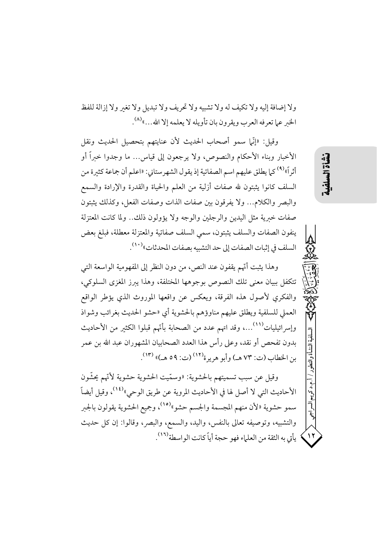ولا إضافة إليه ولا تكيف له ولا تشبيه ولا تحريف ولا تبديل ولا تغير ولا إزالة للفظ الخبر عما تعرفه العرب ويقرون بان تأويله لا يعلمه إلا الله...»<sup>(٨)</sup>.

وقيل: «إنَّما سمو أصحاب الحديث لأن عنايتهم بتحصيل الحديث ونقل الأخبار وبناء الأحكام والنصوص، ولا يرجعون إلى قياس... ما وجدوا خبراً أو أثراً»<sup>(٩)</sup> كما يطلق عليهم اسم الصفاتية إذ يقول الشهرستاني: «اعلم أن جماعة كثيرة من السلف كانوا يثبتون لله صفات أزلية من العلم والحياة والقدرة والإرادة والسمع والبصر والكلام... ولا يفرقون بين صفات الذات وصفات الفعل، وكذلك يثبتون صفات خبرية مثل اليدين والرجلين والوجه ولا يؤولون ذلك.. ولما كانت المعتزلة ينفون الصفات والسلف يثبتون، سمى السلف صفاتية والمعتزلة معطلة، فبلغ بعض السلف في إثبات الصفات إلى حد التشبيه بصفات المحدثات»<sup>(١٠)</sup>.

وهذا يثبت أنَّهم يقفون عند النص، من دون النظر إلى المفهومية الواسعة التي تتكفل ببيان معنى تلك النصوص بوجوهها المختلفة، وهذا يبرز المغزى السلوكي، والفكرى لأصول هذه الفرقة، ويعكس عن واقعها الموروث الذي يؤطر الواقع العملي للسلفية ويطلق عليهم مناوؤهم بالحشوية أي «حشو الحديث بغرائب وشواذ وإسرائيليات```...، وقد اتهم عدد من الصحابة بأتّهم قبلوا الكثير من الأحاديث بدون تفحص أو نقد، وعلى رأس هذا العدد الصحابيان المشهوران عبد الله بن عمر بن الخطاب (ت: ٧٣ هـ) وأبو هريرة<sup>(١٢)</sup> (ت: ٥٩ هـ)» <sup>(١٣)</sup>.

وقيل عن سبب تسميتهم بالحشوية: «وسمّيت الحشوية حشوية لأنّهم يحشّون الأحاديث التي لا أصل لها في الأحاديث المروية عن طريق الوحي»<sup>(١٤)</sup>، وقيل أيضاً سمو حشوية «لأن منهم المجسمة والجسم حشو»<sup>(١٥)</sup>، وجميع الحشوية يقولون بالجبر والتشبيه، وتوصيفه تعالى بالنفس، واليد، والسمع، والبصر، وقالوا: إن كل حديث يأتي به الثقة من العلماء فهو حجة أياً كانت الواسطة<sup>(١٦)</sup>.

نشأة الس

سلفية النشأة والتطور

 $\mathcal{M}_{\mathcal{A}}$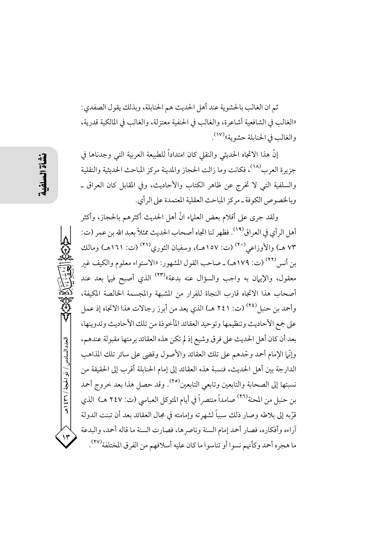ثم ان الغالب بالحشوية عند أهل الحديث هم الحنابلة، وبذلك يقول الصفدي: «الغالب في الشافعية أشاعرة، والغالب في الحنفية معتزلة، والغالب في المالكية قدرية، والغالب في الحنابلة حشوية» (١٧)

إنَّ هذا الاتجاه الحديثي والنقلي كان امتداداً للطبيعة العربية التي وجدناها في جزيرة العرب<sup>(١٨)</sup>، فكانت وما زالت الحجاز والمدينة مركز المباحث الحديثية والنقلية والسلفية التي لا تخرج عن ظاهر الكتاب والأحاديث، وفي المقابل كان العراق ـ وبالخصوص الكوفة ـ مركز المباحث العقلية المعتمدة على الرأي.

ولقد جرى على أقلام بعض العلياء انَّ أهل الحديث أكثرهم بالحجاز، وأكثر أهل الرأي في العراق (١٩). فظهر لنا اتجاه أصحاب الحديث ممثلاً بعبد الله بن عمر (ت: ٧٣ هـ) والأوزاعي<sup>(٢٠)</sup> (ت: ١٥٧هـ)، وسفيان الثوري<sup>(٢١)</sup> (ت: ١٦١هـ) ومالك بن أنس°<sup>(٢٢)</sup> (ت: ١٧٩هـ) ــ صاحب القول المشهور: «الاستواء معلوم والكيف غير معقول، والإيهان به واجب والسؤال عنه بدعة»<sup>(٢٣)</sup> الذي أصبح فيها بعد عند أصحاب هذا الاتجاه قارب النجاة للفرار من المشبهة والمجسمة الخالصة المكيفة، وأحمد بن حنبل <sup>(٢٤)</sup> (ت: ٢٤١ هـ) الذي يعد من أبرز رجالات هذا الاتجاه إذ عمل على جمع الأحاديث وتنظيمها وتوحيد العقائد المأخوذة من تلك الأحاديث وتدوينها، بعد أن كان أهل الحديث على فرق وشيع إذ لم تكن هذه العقائد برمتها مقبولة عندهم، وإنَّما الإمام أحمد وحَّدهم على تلك العقائد والأصول وقضى على سائر تلك المذاهب الدارجة بين أهل الحديث، فنسبة هذه العقائد إلى إمام الحنابلة أقرب إلى الحقيقة من نسبتها إلى الصحابة والتابعين وتابعي التابعين<sup>(٢٥)</sup>. وقد حصل هذا بعد خروج أحمد بن حنبل من المحنة<sup>(٢٦)</sup> صامداً منتصراً في أيام المتوكل العباسي (ت: ٢٤٧ هـ) الذي قرَّبه إلى بلاطه وصار ذلك سبباً لشهرته وإمامته في مجال العقائد بعد أن تبنت الدولة آراءه وأفكاره، فصار أحمد إمام السنة وناصرها، فصارت السنة ما قاله أحمد، والبدعة ما هجره أحمد وكأنهم نسوا أو تناسوا ما كان عليه أسلافهم من الفرق المختلفة'```.

العدد السادس / ذو الحجة / ٣٦٦ هـ

 $\mathcal{N}$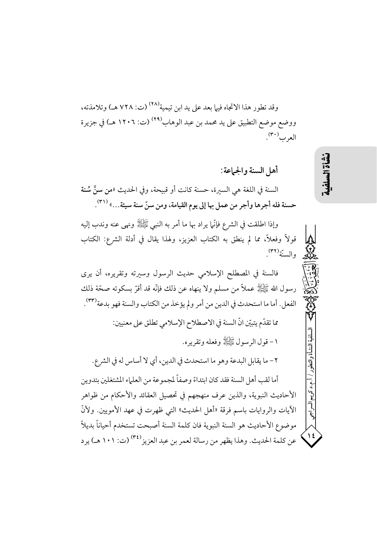وقد تطور هذا الاتجاه فيها بعد على يد ابن تيمية(٢٨) (ت: ٧٢٨ هـ) وتلامذته، ووضع موضع التطبيق على يد محمد بن عبد الوهاب(٢٩) (ت: ١٢٠٦ هـ) في جزيرة العرب(۳۰).

أهل السنة والجماعة: السنة في اللغة هي السيرة، حسنة كانت أو قبيحة، وفي الحديث «من سنَّ سُنة حسنة فله أجرها وأجر من عمل بها إلى يوم القيامة، ومن سنِّ سنة سيئة…» <sup>(٣١)</sup>.

وإذا اطلقت في الشرع فإنَّما يراد بها ما أمر به النبي ﷺ ونهى عنه وندب إليه قولاً وفعلاً، مما لم ينطق به الكتاب العزيز، ولهذا يقال في أدلة الشرع: الكتاب والسنّة<sup>(٣٢)</sup>.

فالسنة في المصطلح الإسلامي حديث الرسول وسبرته وتقريره، أن يرى رسول الله ﷺ عملاً من مسلم ولا ينهاه عن ذلك فإنّه قد أقرّ بسكوته صحّة ذلك الفعل. أما ما استحدث في الدين من أمر ولم يؤخذ من الكتاب والسنة فهو بدعة (٣٣).

مما تقدّم يتبيّن انّ السنة في الاصطلاح الإسلامي تطلق على معنيين: ١ – قول الرسول ﷺ وفعله وتقريره.

٢- ما يقابل البدعة وهو ما استحدث في الدين، أي لا أساس له في الشرع.

أما لقب أهل السنة فقد كان ابتداءً وصفاً لمجموعة من العلماء المشتغلين بتدوين الأحاديث النبوية، والذين عرف منهجهم في تحصيل العقائد والأحكام من ظواهر الآيات والروايات باسم فرقة «أهل الحديث» التي ظهرت في عهد الأمويين. ولأنّ موضوع الأحاديث هو السنة النبوية فان كلمة السنة أصبحت تستخدم أحياناً بديلاً عن كلمة الحديث. وهذا يظهر من رسالة لعمر بن عبد العزيز<sup>(٣٤)</sup> (ت: ١٠١ هـ) يرد

 $\frac{16}{16}$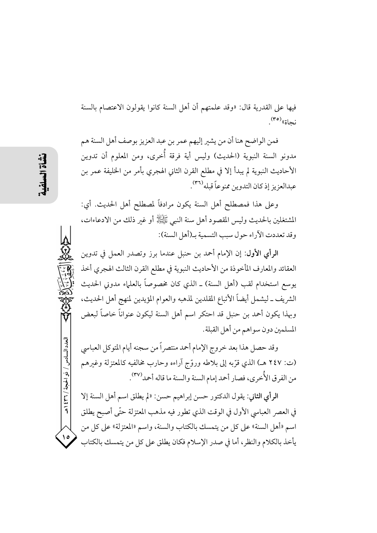العدد السادس / ذو الحجة / ٣٦ / ٤٣٩

 $\overline{\phantom{a}}$ 

فيها على القدرية قال: «وقد علمتهم أن أهل السنة كانوا يقولون الاعتصام بالسنة نحاة) (٣٥).

فمن الواضح هنا أن من يشير إليهم عمر بن عبد العزيز بوصف أهل السنة هم مدونو السنة النبوية (الحديث) وليس أية فرقة أُخرى، ومن المعلوم أن تدوين الأحاديث النبوية لم يبدأ إلا في مطلع القرن الثاني الهجري بأمر من الخليفة عمر بن عبدالعزيز إذ كان التدوين ممنوعاً قبله<sup>(٣٦)</sup>.

وعلى هذا فمصطلح أهل السنة يكون مرادفاً لمصطلح أهل الحديث. أي: المشتغلين بالحديث وليس المقصود أهل سنة النبي ﷺ أو غير ذلك من الادعاءات، وقد تعددت الأراء حول سبب التسمية بـ(أهل السنة):

الرأى الأول: إن الإمام أحمد بن حنبل عندما برز وتصدر العمل في تدوين العقائد والمعارف المأخوذة من الأحاديث النبوية في مطلع القرن الثالث الهجري أخذ يوسع استخدام لقب (أهل السنة) ـ الذي كان مخصوصاً بالعلماء مدوني الحديث الشريف ــ ليشمل أيضاً الأتباع المقلدين لمذهبه والعوام المؤيدين لمنهج أهل الحديث، وبهذا يكون أحمد بن حنبل قد احتكر اسم أهل السنة ليكون عنواناً خاصاً لبعض المسلمين دون سواهم من أهل القبلة.

وقد حصل هذا بعد خروج الإمام أحمد منتصراً من سجنه أيام المتوكل العباسي (ت: ٢٤٧ هـ) الذي قرَّبه إلى بلاطه وروَّج آراءه وحارب مخالفيه كالمعتزلة وغيرهم من الفرق الأُخرى، فصار أحمد إمام السنة والسنة ما قاله أحمد(٣٧).

الرأي الثاني: يقول الدكتور حسن إبراهيم حسن: «لم يطلق اسم أهل السنة إلا في العصر العباسي الأول في الوقت الذي تطور فيه مذهب المعتزلة حتّى أصبح يطلق اسم «أهل السنة» على كل من يتمسك بالكتاب والسنة، واسم «المعتزلة» على كل من يأخذ بالكلام والنظر، أما في صدر الإسلام فكان يطلق على كل من يتمسك بالكتاب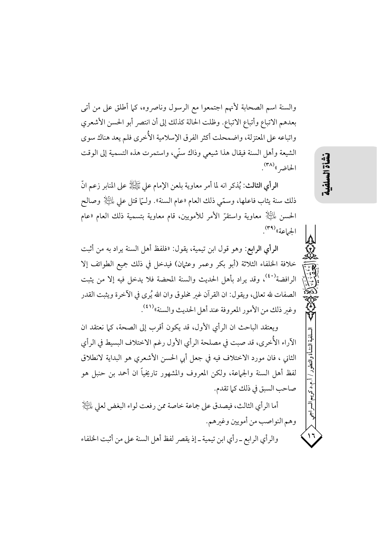والسنة اسم الصحابة لأنهم اجتمعوا مع الرسول وناصروه، كما أطلق على من أتبى بعدهم الاتباع وأتباع الاتباع. وظلت الحالة كذلك إلى أن انتصر أبو الحسن الأشعري واتباعه على المعتزلة، واضمحلت أكثر الفرق الإسلامية الأُخرى فلم يعد هناك سوى الشيعة وأهل السنة فيقال هذا شيعي وذاك سنّى، واستمرت هذه التسمية إلى الوقت الحاضر »(۳۸).

الرأى الثالث: يُذكر انه لما أمر معاوية بلعن الإمام على ﷺ على المنابر زعم انّ ذلك سنة يثاب فاعلها، وسمَّى ذلك العام «عام السنة». ولـمَّا قتل على ﷺ وصالح الحسن لِلتِّكَلِّ معاوية واستقرّ الأمر للأمويين، قام معاوية بتسمية ذلك العام «عام الجماعة) (٣٩).

الرأي الرابع: وهو قول ابن تيمية، يقول: «فلفظ أهل السنة يراد به من أثبت خلافة الخلفاء الثلاثة (أبو بكر وعمر وعثمان) فيدخل في ذلك جميع الطوائف إلا الرافضة<sup>(٤٠)</sup>، وقد يراد بأهل الحديث والسنة المحضة فلا يدخل فيه إلا من يثبت الصفات لله تعالى، ويقول: ان القرآن غير مخلوق وان الله يُرى في الآخرة ويثبت القدر وغير ذلك من الأمور المعروفة عند أهل الحديث والسنة»<sup>(٤١)</sup>.

ويعتقد الباحث ان الرأي الأول، قد يكون أقرب إلى الصحة، كما نعتقد ان الآراء الأُخرى، قد صبت في مصلحة الرأى الأول رغم الاختلاف البسيط في الرأي الثاني ، فان مورد الاختلاف فيه في جعل أبي الحسن الأشعري هو البداية لانطلاق لفظ أهل السنة والجماعة، ولكن المعروف والمشهور تاريخياً ان أحمد بن حنبل هو صاحب السبق في ذلك كما تقدم.

أما الرأى الثالث، فيصدق على جماعة خاصة ممن رفعت لواء البغض لعلى للَّيَّالِهِ وهم النواصب من أمويين وغيرهم.

والرأى الرابع ـ رأى ابن تيمية ـ إذ يقصر لفظ أهل السنة على من أثبت الخلفاء

أ.م.د كريم السراجى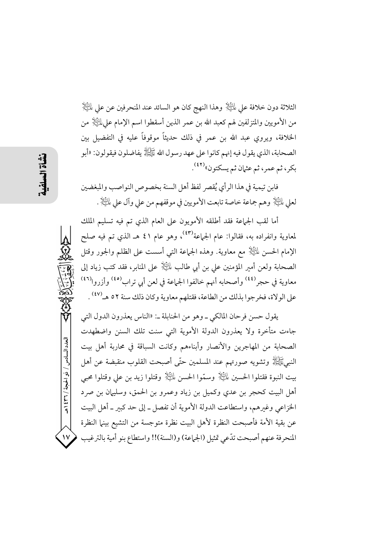الثلاثة دون خلافة علي لِمَائِيَلاٍ وهذا النهج كان هو السائد عند المنحرفين عن علي لِمَائِيَالِا من الأمويين والمتزلفين لهم كعبد الله بن عمر الذين أسقطوا اسم الإمام على الجِّالِ من الخلافة، ويروى عبد الله بن عمر في ذلك حديثاً موقوفاً عليه في التفضيل بين الصحابة، الذي يقول فيه إنهم كانوا على عهد رسول الله ﷺ يفاضلون فيقولون: «أبو بكر، ثم عمر، ثم عثمان ثم يسكتون»<sup>(٤٢)</sup>.

فابن تيمية في هذا الرأى يُقصر لفظ أهل السنة بخصوص النواصب والمبغضين لعلى لِلتِّلِلَّا وهم جماعة خاصة تابعت الأمويين في موقفهم من على وآل على لِلتِّلَلَّا .

أما لقب الجماعة فقد أطلقه الأمويون على العام الذي تم فيه تسليم الملك لمعاوية وانفراده به، فقالوا: عام الجماعة<sup>(٤٣)</sup>، وهو عام ٤١ هـ الذي تم فيه صلح الإمام الحسن لِلْتِلَلَّا مع معاوية. وهذه الجماعة التي أسست على الظلم والجور وقتل الصحابة ولعن أمير المؤمنين علي بن أبي طالب لِمَلِيَّلاٍ على المنابر، فقد كتب زياد إلى معاوية في حجر<sup>(٤٤)</sup> وأصحابه أنهم خالفوا الجماعة في لعن أبي تراب<sup>(٤٥)</sup> وأزروا<sup>(٤٦)</sup> على الولاة، فخرجوا بذلك من الطاعة، فقتلهم معاوية وكان ذلك سنة ٥٢ هــ (٤٧) .

يقول حسن فرحان المالكي ـ وهو من الحنابلة ـ: «الناس يعذرون الدول التي جاءت متأخرة ولا يعذرون الدولة الأموية التي سنت تلك السنن واضطهدت الصحابة من المهاجرين والأنصار وأبناءهم وكانت السباقة في محاربة أهل بيت النبيﷺ وتشويه صورتهم عند المسلمين حتّى أصبحت القلوب منقبضة عن أهل بيت النبوة فقتلوا الحسين لِمائِيَلاٍ وسمُّوا الحسن لِمائِيَلاٍ وقتلوا زيد بن على وقتلوا محبي أهل البيت كحجر بن عدي وكميل بن زياد وعمرو بن الحمق، وسليهان بن صرد الخزاعي وغيرهم، واستطاعت الدولة الأموية أن تفصل ـ إلى حد كبير ـ أهل البيت عن بقية الأمة فأصبحت النظرة لأهل البيت نظرة متوجسة من التشيع بينها النظرة المنحرفة عنهم أصبحت تدَّعي تمثيل (الجماعة) و(السنة)!! واستطاع بنو أمية بالترغيب

العدد السادس / ذو الحجة / ٣٦٦ / هـ

 $\mathsf{V}$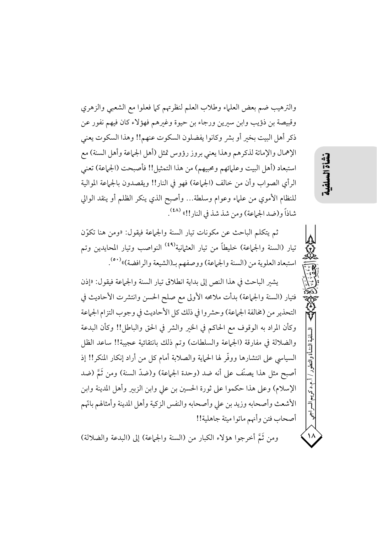والترهيب ضم بعض العلماء وطلاب العلم لنظرتهم كما فعلوا مع الشعبي والزهري وقبيصة بن ذؤيب وابن سيرين ورجاء بن حيوة وغيرهم فهؤلاء كان فيهم نفور عن ذكر أهل البيت بخبر أو بشر وكانوا يفضلون السكوت عنهم!! وهذا السكوت يعني الإهمال والإماتة لذكرهم وهذا يعني بروز رؤوس تمثل (أهل الجماعة وأهل السنة) مع استبعاد (أهل البيت وعلمائهم ومحبيهم) من هذا التمثيل!! فأصبحت (الجماعة) تعني الرأى الصواب وأن من خالف (الجماعة) فهو في النار!! ويقصدون بالجماعة الموالية للنظام الأموي من علماء وعوام وسلطة... وأصبح الذي ينكر الظلم أو ينقد الوالي شاذاً و(ضد الجماعة) ومن شذ شذ في النار!!» (<sup>٤٨)</sup>.

ثم يتكلَّم الباحث عن مكونات تيار السنة والجماعة فيقول: «ومن هنا تكوَّن تيار (السنة والجماعة) خليطاً من تيار العثمانية<sup>(٤٩)</sup> النواصب وتيار المحايدين وتم استبعاد العلوية من (السنة والجماعة) ووصفهم بـ(الشيعة والرافضة)»<sup>(٥٠)</sup>.

يشير الباحث في هذا النص إلى بداية انطلاق تيار السنة والجماعة فيقول: «إذن فتيار (السنة والجماعة) بدأت ملامحه الأولى مع صلح الحسن وانتشرت الأحاديث في التحذير من (مخالفة الجماعة) وحشروا في ذلك كل الأحاديث في وجوب التزام الجماعة وكأن المراد به الوقوف مع الحاكم في الخير والشر في الحق والباطل!! وكأن البدعة والضلالة في مفارقة (الجماعة والسلطات) وتم ذلك بانتقائية عجيبة!! ساعد الظل السياسي على انتشارها ووفَّر لها الحماية والصلابة أمام كل من أراد إنكار المنكر!! إذ أصبح مثل هذا يصنَّف على أنه ضد (وحدة الجماعة) و(ضدَّ السنة) ومن ثَمَّ (ضد الإسلام) وعلى هذا حكموا على ثورة الحسين بن على وابن الزبير وأهل المدينة وابن الأشعث وأصحابه وزيد بن على وأصحابه والنفس الزكية وأهل المدينة وأمثالهم باتمم أصحاب فتن وأنهم ماتوا ميتة جاهلية!!

ومن ثَمَّ أخرجوا هؤلاء الكبار من (السنة والجماعة) إلى (البدعة والضلالة)

نشأة السلف

لسلفية النشأة والتطور /

آ.م.د کریم السراجی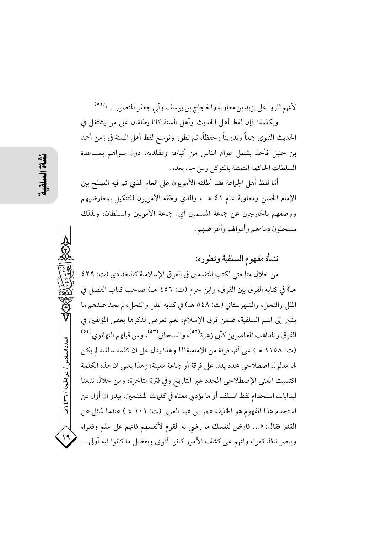لأنهم ثاروا على يزيد بن معاوية والحجاج بن يوسف وأبي جعفر المنصور...»(٥١).

وبكلمة: فإن لفظ أهل الحديث وأهل السنة كانا يطلقان على من يشتغل في الحديث النبوى جمعاً وتدويناً وحفظاً، ثم تطور وتوسع لفظ أهل السنة في زمن أحمد بن حنبل فأخذ يشمل عوام الناس من أتباعه ومقلديه، دون سواهم بمساعدة السلطات الحاكمة المتمثلة بالمتوكل ومن جاء بعده.

أمَّا لفظ أهلِ الجماعة فقد أطلقه الأمويون على العام الذي تم فيه الصلح بين الإمام الحسن ومعاوية عام ٤١ هـ ، والذي وظفه الأمويون للتنكيل بمعارضيهم ووصفهم بالخارجين عن جماعة المسلمين أي: جماعة الأمويين والسلطان، وبذلك يستحلون دماءهم وأموالهم وأعراضهم.

نشأة مفهوم السلفية وتطوره:

من خلال متابعتي لكتب المتقدمين في الفرق الإسلامية كالبغدادي (ت: ٤٢٩ هـ) في كتابه الفرق بين الفرق، وابن حزم (ت: ٤٥٦ هـ) صاحب كتاب الفصل في الملل والنحل، والشهرستاني (ت: ٥٤٨ هـ) في كتابه الملل والنحل، لم نجد عندهم ما يشير إلى اسم السلفية، ضمن فرق الإسلام، نعم تعرض لذكرها بعض المؤلفين في الفرق والمذاهب المعاصرين كأبي زهرة<sup>(٥٢)</sup>، والسبحاني<sup>(٥٣)</sup>، ومن قبلهم التهانوي<sup>(٥٤)</sup> (ت: ١١٥٨ هـ) على أنها فرقة من الإمامية!!! وهذا يدل على ان كلمة سلفية لم يكن لها مدلول اصطلاحي محدد يدل على فرقة أو جماعة معينة، وهذا يعني ان هذه الكلمة اكتسبت المعنى الإصطلاحي المحدد عبر التاريخ وفي فترة متأخرة، ومن خلال تتبعنا لبدايات استخدام لفظ السلف أو ما يؤدي معناه في كلمات المتقدمين، يبدو ان أول من استخدم هذا المفهوم هو الخليفة عمر بن عبد العزيز (ت: ١٠١ هـ) عندما سُئل عن القدر فقال: «... فارض لنفسك ما رضي به القوم لأنفسهم فانهم على علم وقفوا، وببصر نافذ كفوا، وانهم على كشف الأمور كانوا أقوى وبفضل ما كانوا فيه أولى…

العدد السادس / ذو الحجة / ٣٦ / ٤٣٩

 $\sqrt{9}$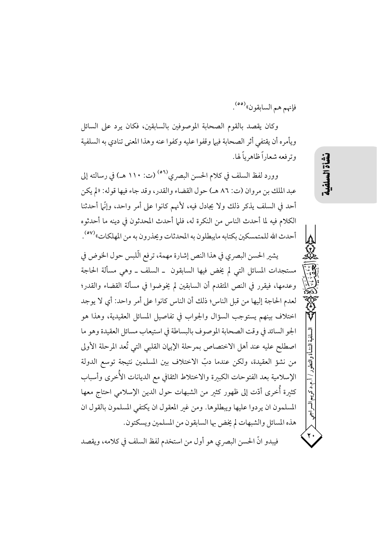فإنهم هم السابقون»<sup>(٥٥)</sup>.

وكان يقصد بالقوم الصحابة الموصوفين بالسابقين، فكان يرد على السائل ويأمره أن يقتفي أثر الصحابة فيها وقفوا عليه وكفوا عنه وهذا المعنى تنادى به السلفية و تر فعه شعار اً ظاهر ياً لها.

وورد لفظ السلف في كلام الحسن البصري<sup>(٥٦)</sup> (ت: ١١٠ هـ) في رسالته إلى عبد الملك بن مروان (ت: ٨٦ هـ) حول القضاء والقدر، وقد جاء فيها قوله: «لم يكن أحد في السلف يذكر ذلك ولا يجادل فيه، لأنهم كانوا على أمر واحد، وإنَّما أحدثنا الكلام فيه لما أحدث الناس من النكرة له، فلما أحدث المحدثون في دينه ما أحدثوه أحدث الله للمتمسكين بكتابه مايبطلون به المحدثات ويحذرون به من المهلكات» (٥٧).

يشير الحسن البصري في هذا النص إشارة مهمة، ترفع الَّلبس حول الخوض في مستجدات المسائل التي لم يخض فيها السابقون ـ السلف ــ وهي مسألة الحاجة وعدمها، فيقرر في النص المتقدم أن السابقين لم يخوضوا في مسألة القضاء والقدر؛ لعدم الحاجة إليها من قبل الناس؛ ذلك أن الناس كانوا على أمر واحد: أي لا يوجد اختلاف بينهم يستوجب السؤال والجواب في تفاصيل المسائل العقيدية، وهذا هو الجو السائد في وقت الصحابة الموصوف بالبساطة في استيعاب مسائل العقيدة وهو ما اصطلح عليه عند أهل الاختصاص بمرحلة الإيهان القلبي التي تُعد المرحلة الأولى من نشؤ العقيدة، ولكن عندما دبّ الاختلاف بين المسلمين نتيجة توسع الدولة الإسلامية بعد الفتوحات الكبيرة والاختلاط الثقافي مع الديانات الأُخرى وأسباب كثيرة أُخرى أدّت إلى ظهور كثير من الشبهات حول الدين الإسلامي احتاج معها المسلمون ان يردوا عليها ويبطلوها. ومن غير المعقول ان يكتفي المسلمون بالقول ان هذه المسائل والشبهات لم يخض بها السابقون من المسلمين ويسكتون. فيبدو انَّ الحسن البصري هو أول من استخدم لفظ السلف في كلامه، ويقصد

لسلفية النشأة والتطور

أ.م.د كريم السر اجي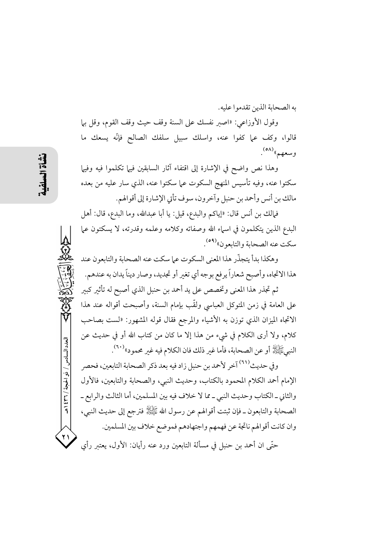به الصحابة الذين تقدموا عليه.

وقول الأوزاعي: «اصبر نفسك على السنة وقف حيث وقف القوم، وقل بها قالوا، وكف على كفوا عنه، واسلك سبيل سلفك الصالح فإنَّه يسعك ما وسعهم»(٥٨).

وهذا نص واضح في الإشارة إلى اقتفاء آثار السابقين فيها تكلموا فيه وفيها سكتوا عنه، وفيه تأسيس المنهج السكوت عما سكتوا عنه، الذي سار عليه من بعده مالك بن أنس وأحمد بن حنبل وآخرون، سوف تأتي الإشارة إلى أقوالهم.

فمالك بن أنس قال: «إياكم والبدع، قيل: يا أبا عبدالله، وما البدع، قال: أهل البدع الذين يتكلمون في اسماء الله وصفاته وكلامه وعلمه وقدرته، لا يسكتون عما سكت عنه الصحابة والتابعو ن»<sup>(٥٩)</sup>.

وهكذا بدأ يتجذَّر هذا المعنى السكوت عما سكت عنه الصحابة والتابعون عند هذا الاتجاه، وأصبح شعاراً يرفع بوجه أي تغير أو تجديد، وصار ديناً يدان به عندهم.

ثم تجذر هذا المعنى وتخصص على يد أحمد بن حنبل الذي أصبح له تأثير كبير على العامة في زمن المتوكل العباسي ولقَّب بإمام السنة، وأصبحت أقواله عند هذا الاتجاه الميزان الذي توزن به الأشياء والمرجع فقال قوله المشهور: «لست بصاحب كلام، ولا أرى الكلام في شيء من هذا إلا ما كان من كتاب الله أو في حديث عن النبِيﷺ أو عن الصحابة، فأما غير ذلك فان الكلام فيه غير محمود»(٦٠).

وفي حديث<sup>(٦١)</sup> آخر لأحمد بن حنبل زاد فيه بعد ذكر الصحابة التابعين، فحصر الإمام أحمد الكلام المحمود بالكتاب، وحديث النبي، والصحابة والتابعين، فالأول والثاني\_الكتاب وحديث النبي\_ مما لا خلاف فيه بين المسلمين، أما الثالث والرابع \_ الصحابة والتابعون\_فإن ثبتت أقوالهم عن رسول الله ﷺ فترجع إلى حديث النبي، وان كانت أقوالهم ناتجة عن فهمهم واجتهادهم فموضع خلاف بين المسلمين.

حتَّى ان أحمد بن حنبل في مسألة التابعين ورد عنه رأيان: الأول، يعتبر رأى

العدد السادس / ذو الحجة / ٣٦٦ هـ

 $\mathbf{y}$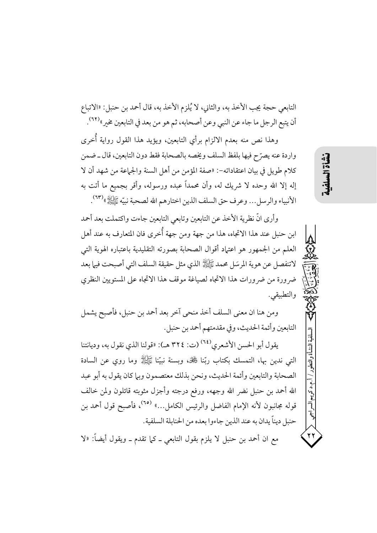التابعي حجة يجب الأخذ به، والثاني، لا يُلزِم الأخذ به، قال أحمد بن حنبل: «الاتباع أن يتبع الرجل ما جاء عن النبي وعن أصحابه، ثم هو من بعد في التابعين مخير»<sup>(٦٢)</sup>.

وهذا نص منه بعدم الالزام برأى التابعين، ويؤيد هذا القول رواية أُخرى واردة عنه يصرّ ح فيها بلفظ السلف ويخصه بالصحابة فقط دون التابعين، قال ـ ضمن كلام طويل في بيان اعتقاداته-: «صفة المؤمن من أهل السنة والجماعة من شهد أن لا إله إلا الله وحده لا شريك له، وأن محمداً عبده ورسوله، وأقر بجميع ما أتت به الأنبياء والرسل... وعرف حق السلف الذين اختارهم الله لصحبة نبيّه ﷺ» (٦٣).

وأرى انَّ نظرية الأخذ عن التابعين وتابعي التابعين جاءت واكتملت بعد أحمد ابن حنبل عند هذا الاتجاه، هذا من جهة ومن جهة أُخرى فان المتعارف به عند أهل العلم من الجمهور هو اعتماد أقوال الصحابة بصورته التقليدية باعتباره الهوية التي لاتنفصل عن هوية المرسَل محمد ﷺ الذي مثل حقيقة السلف التي أصبحت فيها بعد ضرورة من ضرورات هذا الاتجاه لصياغة موقف هذا الاتجاه على المستويين النظري والتطبيقي.

ومن هنا ان معنى السلف أخذ منحى آخر بعد أحمد بن حنبل، فأصبح يشمل التابعين وأئمة الحديث، وفي مقدمتهم أحمد بن حنبل.

يقول أبو الحسن الأشعري<sup>(٢٤)</sup> (ت: ٣٢٤ هـ): «قولنا الذي نقول به، وديانتنا التي ندين بها، التمسك بكتاب ربّنا ﷺ، وبسنة نبيّنا ﷺ وما روى عن السادة الصحابة والتابعين وأئمة الحديث، ونحن بذلك معتصمون وبها كان يقول به أبو عبد الله أحمد بن حنبل نضر الله وجهه، ورفع درجته وأجزل مثوبته قائلون ولمن خالف قوله مجانبون لأنه الإمام الفاضل والرئيس الكامل...» <sup>(٦٥)</sup>، فأصبح قول أحمد بن حنبل ديناً يدان به عند الذين جاءوا بعده من الحنابلة السلفية. مع ان أحمد بن حنبل لا يلزم بقول التابعي ـ كيا تقدم ـ ويقول أيضاً: «لا

نشأة السلف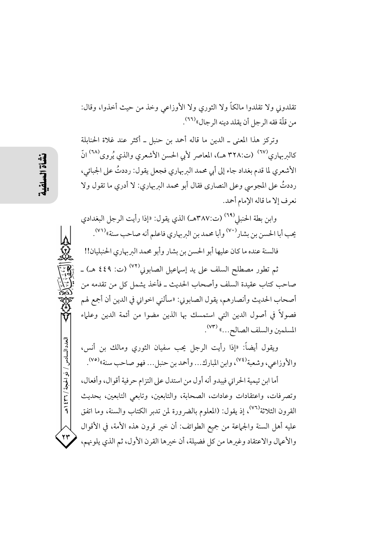تقلدوني ولا تقلدوا مالكاً ولا الثوري ولا الأوزاعي وخذ من حيث أخذوا، وقال: من قلّة فقه الرجل أن يقلد دينه الرجال»<sup>(٢٦)</sup>.

وتركز هذا المعنى ــ الدين ما قاله أحمد بن حنبل ــ أكثر عند غلاة الحنابلة كالبربهاري<sup>(٦٧)</sup> (ت:٣٢٨ هـ)، المعاصر لأبي الحسن الأشعري والذي يُروى<sup>(٦٨)</sup> انّ الأشعري لما قدم بغداد جاء إلى أبي محمد البربهاري فجعل يقول: رددتُ على الجبائي، رددتُ على المجوسي وعلى النصاري فقال أبو محمد البربهاري: لا أدري ما تقول ولا نعرف إلا ما قاله الإمام أحمد.

وابن بطة الحنبلي<sup>(٢٩)</sup> (ت:٣٨٧هـ) الذي يقول: «إذا رأيت الرجل البغدادي يحب أبا الحسن بن بشار<sup>(٧٠)</sup> وأبا محمد بن البربهاري فاعلم أنه صاحب سنة»<sup>(٧١)</sup>.

فالسنة عنده ما كان عليها أبو الحسن بن بشار وأبو محمد البربهاري الحنبليان!!

ثم تطور مصطلح السلف على يد إسهاعيل الصابونى<sup>(٧٢)</sup> (ت: ٤٤٩ هـ) ـ صاحب كتاب عقيدة السلف وأصحاب الحديث ــ فأخذ يشمل كل من تقدمه من أصحاب الحديث وأنصارهم، يقول الصابوني: «سألنى اخواني في الدين أن أجمع لهم فصولاً في أصول الدين التي استمسك بها الذين مضوا من أئمة الدين وعلماء المسلمين والسلف الصالح...» (٧٣).

ويقول أيضاً: «إذا رأيت الرجل يحب سفيان الثوري ومالك بن أنس، والأوزاعي، وشعبة<sup>(٧٤)</sup>، وابن المبارك... وأحمد بن حنبل... فهو صاحب سنة»<sup>(٧٥)</sup>.

أما ابن تيمية الحراني فيبدو أنه أول من استدل على التزام حرفية أقوال، وأفعال، وتصرفات، واعتقادات وعادات، الصحابة، والتابعين، وتابعي التابعين، بحديث القرون الثلاثة<sup>(٧٦)</sup>، إذ يقول: (المعلوم بالضرورة لمن تدبر الكتاب والسنة، وما اتفق عليه أهل السنة والجماعة من جميع الطوائف: أن خير قرون هذه الأمة، في الأقوال والأعمال والاعتقاد وغيرها من كل فضيلة، أن خيرها القرن الأول، ثم الذي يلونهم،

العدد السادس / ذو الحجة / ٣٦ / ٤٣٩

 $rr$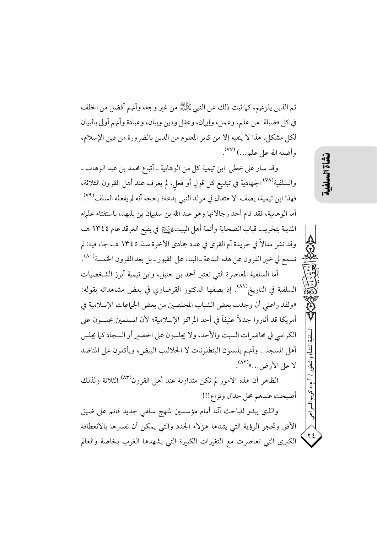ثم الذين يلونهم، كما ثبت ذلك عن النبي ﷺ من غير وجه، وأنهم أفضل من الخلف في كل فضيلة: من علم، وعمل، وإيهان، وعقل ودين وبيان، وعبادة وأنهم أولى بالبيان لكل مشكل. هذا لا ينفيه إلا من كابر المعلوم من الدين بالضرورة من دين الإسلام، وأضله الله على علم...) <sup>(٧٧)</sup>.

وقد سار على خطى ابن تيمية كل من الوهابية ـ أتباع محمد بن عبد الوهاب ـ والسلفية<sup>(٧٨)</sup> الجهادية في تبديع كل قولٍ أو فعل، لم يعرف عند أهل القرون الثلاثة، فهذا ابن تيمية، يصف الاحتفال في مولد النبي بدعة؛ بحجة أنه لم يفعله السلف<sup>(٧٩)</sup>. أما الوهابية، فقد قام أحد رجالاتها وهو عبد الله بن سليهان بن بليهد، باستفتاء علماء المدينة بتخريب قباب الصحابة وأئمة أهل البيت إيتيلا في بقيع الغرقد عام ١٣٤٤ هـ، وقد نشر مقالاً في جريدة أم القرى في عدد جمادي الآخرة سنة ١٣٤٥ هـ، جاء فيه: لم نسمع في خير القرون عن هذه البدعة ـ البناء على القبور ـ بل بعد القرون الخمسة (^^).

أما السلفية المعاصرة التي تعتبر أحمد بن حنبل، وابن تيمية أبرز الشخصيات السلفية في التاريخ<sup>(٨١)</sup>. إذ يصفها الدكتور القرضاوي في بعض مشاهداته بقوله: «ولقد راعني أن وجدت بعض الشباب المخلصين من بعض الجماعات الإسلامية في أمريكا قد أثاروا جدلاً عنيفاً في أحد المراكز الإسلامية؛ لأن المسلمين يجلسون على الكراسي في محاضرات السبت والأحد، ولا يجلسون على الحصير أو السجاد كما يجلس أهل المسجد.. وأنهم يلبسون البنطلونات لا الجلاليب البيض، ويأكلون على المناضد لا على الأرض....» (٨٢).

الظاهر أن هذه الأمور لم تكن متداولة عند أهل القرون<sup>(٨٣)</sup> الثلاثة ولذلك أصبحت عندهم محل جدال ونزاع!!!

والذي يبدو للباحث أنّنا أمام مؤسسين لمنهج سلفي جديد قائم على ضيق الأفق وتحجر الرؤية التي يتبناها هؤلاء الجدد والتي يمكن أن نفسرها بالانعطافة الكبرى التي تعاصرت مع التغيرات الكبيرة التي يشهدها الغرب بخاصة والعالم النشأة والتطو

`.م.د کریم السر اجي

۲٤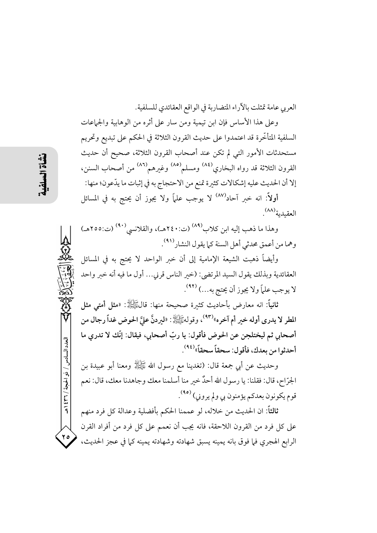العربي عامة تمثلت بالآراء المتضاربة في الواقع العقائدي للسلفية.

وعلى هذا الأساس فإن ابن تيمية ومن سار على أثره من الوهابية والجماعات السلفية المتأخَّرة قد اعتمدوا على حديث القرون الثلاثة في الحكم على تبديع وتحريم مستحدثات الأمور التي لم تكن عند أصحاب القرون الثلاثة، صحيح أن حديث القرون الثلاثة قد رواه البخاري<sup>(٨٤)</sup> ومسلم<sup>(٨٥)</sup> وغيرهم<sup>(٨٦)</sup> من أصحاب السنن، إلا أن الحديث عليه إشكالات كثيرة تمنع من الاحتجاج به في إثبات ما يدّعون؛ منها:

**أولاً**: انه خبر آحاد<sup>(٨٧)</sup> لا يوجب علماً ولا يجوز أن يحتج به في المسائل العقيدية (٨٨).

وهذا ما ذهب إليه ابن كلاب<sup>(٨٩)</sup> (ت:٤٠١هـ)، والقلانسي<sup>(٩٠)</sup> (ت:٢٥٥هـ) وهما من أعمق محدثي أهل السنة كما يقول النشار<sup>(٩١)</sup>.

وأيضاً ذهبت الشيعة الإمامية إلى أن خبر الواحد لا يحتج به في المسائل العقائدية وبذلك يقول السيد المرتضى: (خير الناس قرني… أول ما فيه أنه خبر واحد لا يوجب علماً ولا يجوز أن يحتج به...) (٩٢).

ثانياً: انه معارض بأحاديث كثيرة صحيحة منها: قالﷺ: «مثل أمتى مثل المطر لا يدري أوله خير أم آخره»<sup>(٩٣)</sup>، وقولهﷺ: «ليردنَّ عليَّ الحوض غداً رجال من أصحابي ثم ليختلجن عن الحوض فأقول: يا ربّ أصحابي، فيقال: إنَّك لا تدرى ما أحدثوا من بعدك، فأقول: سحقاً سحقاً»<sup>(٩٤)</sup>.

وحديث عن أبي جمعة قال: (تغدينا مع رسول الله ﷺ ومعنا أبو عبيدة بن الجرّاح، قال: فقلنا: يا رسول الله أحدٌ خير منا أسلمنا معك وجاهدنا معك، قال: نعم قوم يكونون بعدكم يؤمنون بي ولم يروني) (٩٥).

ثالثاً: ان الحديث من خلاله، لو عممنا الحكم بأفضلية وعدالة كل فرد منهم على كل فرد من القرون اللاحقة، فانه يجب أن نعمم على كل فرد من أفراد القرن الرابع الهجري فما فوق بانه يمينه يسبق شهادته وشهادته يمينه كما في عجز الحديث،

العدد السادس / ذو الحجة / ٣٦ / ٤٣٩

 $rac{1}{1}$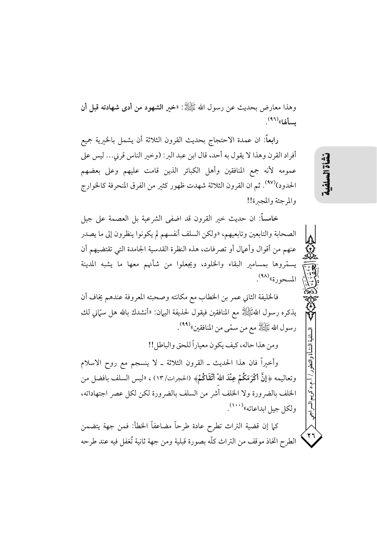وهذا معارض بحديث عن رسول الله ﷺ: «خبر الشهود من أدى شهادته قبل أن ىسألھا»<sup>(٩٦)</sup>.

رابعاً: ان عمدة الاحتجاج بحديث القرون الثلاثة أن يشمل بالخيرية جميع أفراد القرن وهذا لا يقول به أحد، قال ابن عبد البر: (وخير الناس قرني… ليس على عمومه لأنه جمع المنافقين وأهل الكبائر الذين قامت عليهم وعلى بعضهم الحدود)<sup>(۹۷)</sup>. ثم ان القرون الثلاثة شهدت ظهور كثير من الفرق المنحرفة كالخوارج والمرجئة والمجبرة!!

خامساً: ان حديث خبر القرون قد اضفى الشرعية بل العصمة على جيل الصحابة والتابعين وتابعيهم، «ولكن السلف أنفسهم لم يكونوا ينظرون إلى ما يصدر عنهم من أقوال وأعمال أو تصرفات، هذه النظرة القدسية الجامدة التي تقتضيهم أن يسمّروها بمسامير البقاء والخلود، ويجعلوا من شأنهم معها ما يشبه المدينة المسحورة»<sup>(۹۸)</sup>.

فالخليفة الثاني عمر بن الخطاب مع مكانته وصحبته المعروفة عندهم يخاف أن يذكره رسول اللهُﷺ مع المنافقين فيقول لحذيفة اليهان: «أنشدك بالله هل سمَّاني لك رسول الله ﷺ مع من سمّى من المنافقين»<sup>(٩٩)</sup>.

ومن هذا حاله، كيف يكون معياراً للحق والباطل!!

وأخيراً فان هذا الحديث ـ القرون الثلاثة ـ لا ينسجم مع روح الاسلام وتعاليمه ﴿إِنَّ أَكْرَمَكُمْ عِنْدَ اللَّهَ أَتْقَاكُمْ﴾ (الحجرات/ ١٣) ، «ليس السلف بافضل من الخلف بالضرورة ولا الخلف أشر من السلف بالضرورة لكن لكل عصر اجتهاداته، ولكل جيل ابداعاته»<sup>(۱۰۰)</sup>.

كما إن قضية التراث تطرح عادة طرحاً مضاعفاً الخطأ: فمن جهة يتضمن الطرح اتخاذ موقف من التراث كلَّه بصورة قبلية ومن جهة ثانية تُغفل فيه عند طرحه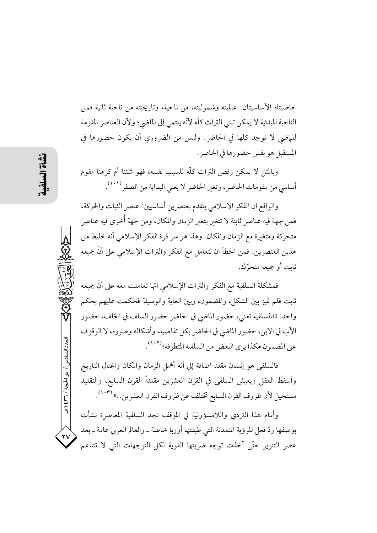خاصيتاه الأساسيتان: عالميته وشموليته، من ناحية، وتاريخيته من ناحية ثانية فمن الناحية المبدئية لا يمكن تبني التراث كلَّه لأنَّه ينتمي إلى الماضي؛ ولأن العناصر المقومة للماضي لا توجد كلها في الحاضر. وليس من الضروري أن يكون حضورها في المستقبل هو نفس حضورها في الحاضر .

وبالمثل لا يمكن رفض التراث كلَّه للسبب نفسه، فهو شئنا أم كرهنا مقوم أساسي من مقومات الحاضر، وتغير الحاضر لا يعني البداية من الصفر(١٠١٠).

والواقع ان الفكر الإسلامي يتقدم بعنصرين أساسيين: عنصر الثبات والحركة، فمن جهة فيه عناصر ثابتة لا تتغير بتغير الزمان والمكان، ومن جهة أُخرى فيه عناصر متحركة ومتغيرة مع الزمان والمكان. وهذا هو سر قوة الفكر الإسلامي أنه خليط من هذين العنصرين. فمن الخطأ ان نتعامل مع الفكر والتراث الإسلامي على أنَّ جميعه ثابت أو جمعه متحرّك.

فمشكلة السلفية مع الفكر والتراث الإسلامي اتما تعاملت معه على أنَّ جميعه ثابت فلم تميز بين الشكل، والمضمون، وبين الغاية والوسيلة فحكمت عليهم بحكم واحد. «فالسلفية تعني، حضور الماضي في الحاضر حضور السلف في الخلف، حضور الأب في الابن، حضور الماضي في الحاضر بكل تفاصيله وأشكاله وصوره، لا الوقوف على المضمون هكذا يرى البعض من السلفية المتطرفة»(١٠٢).

فالسلفى هو إنسان مقلد اضافة إلى أنه أهمل الزمان والمكان واغتال التاريخ وأسقط العقل ويعيش السلفى في القرن العشرين مقلداً القرن السابع، والتقليد مستحيل لأن ظروف القرن السابع تختلف عن ظروف القرن العشرين..» (١٠٣).

وأمام هذا التردي واللامسؤولية في الموقف نجد السلفية المعاصرة نشأت بوصفها ردّ فعل للرؤية المتمدنة التي طبقتها أوربا خاصة ــ والعالم العربي عامة ــ بعد عصر التنوير حتَّى أخذت توجه ضربتها القوية لكل التوجهات التي لا تتناغم

العدد السادس / ذو الحجة / ٣٦ / ٤٣٩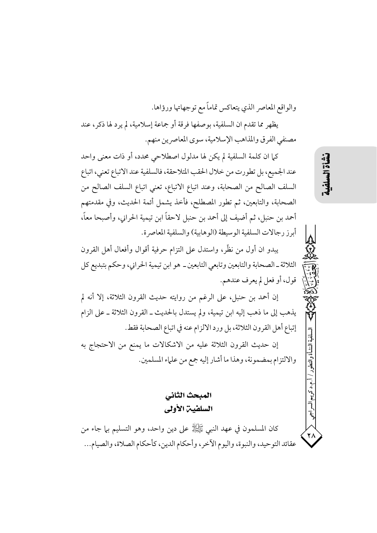والواقع المعاصر الذي يتعاكس تماماً مع توجهاتها ورؤاها. يظهر مما تقدم ان السلفية، بوصفها فرقة أو جماعة إسلامية، لم يرد لها ذكر، عند مصنفي الفرق والمذاهب الإسلامية، سوى المعاصرين منهم.

كيا ان كلمة السلفية لم يكن لها مدلول اصطلاحي محدد، أو ذات معنى واحد عند الجميع، بل تطورت من خلال الحقب المتلاحقة، فالسلفية عند الاتباع تعني، اتباع السلف الصالح من الصحابة، وعند اتباع الاتباع، تعني اتباع السلف الصالح من الصحابة، والتابعين، ثم تطور المصطلح، فأخذ يشمل أئمة الحديث، وفي مقدمتهم أحمد بن حنبل، ثم أضيف إلى أحمد بن حنبل لاحقاً ابن تيمية الحراني، وأصبحا معاً، أبرز رجالات السلفية الوسيطة (الوهابية) والسلفية المعاصرة.

يبدو ان أول من نظَّر، واستدل على التزام حرفية أقوال وأفعال أهل القرون الثلاثة ـ الصحابة والتابعين وتابعي التابعين ـ هو ابن تيمية الحراني، وحكم بتبديع كل قول، أو فعل لم يعرف عندهم.

إن أحمد بن حنبل، على الرغم من روايته حديث القرون الثلاثة، إلا أنه لم يذهب إلى ما ذهب إليه ابن تيمية، ولم يستدل بالحديث ـ القرون الثلاثة ـ على الزام إتباع أهل القرون الثلاثة، بل ورد الالزام عنه في اتباع الصحابة فقط. إن حديث القرون الثلاثة عليه من الاشكالات ما يمنع من الاحتجاج به والالتزام بمضمونة، وهذا ما أشار إليه جمع من علماء المسلمين.

# المبحث الثاني السلطين الأولى

كان المسلمون في عهد النبي ﷺ على دين واحد، وهو التسليم بها جاء من عقائد التوحيد، والنبوة، واليوم الآخر، وأحكام الدين، كأحكام الصلاة، والصيام... نشأة ال

۲۸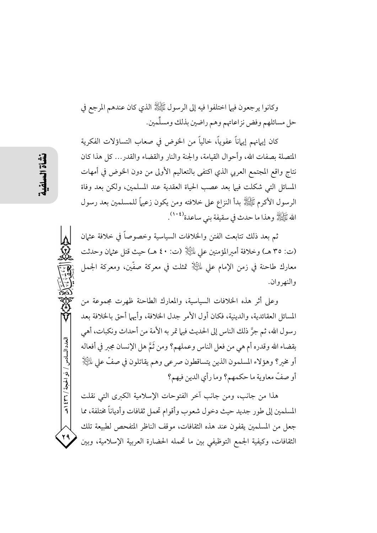وكانوا يرجعون فيها اختلفوا فيه إلى الرسول ﷺ الذي كان عندهم المرجع في حل مسائلهم وفض نزاعاتهم وهم راضين بذلك ومسلِّمين.

كان إيهانهم إيهاناً عفوياً، خالياً من الخوض في صعاب التساؤلات الفكرية المتصلة بصفات الله، وأحوال القيامة، والجنة والنار والقضاء والقدر… كل هذا كان نتاج واقع المجتمع العربي الذي اكتفى بالتعاليم الأولى من دون الخوض في أمهات المسائل التي شكلت فيها بعد عصب الحياة العقدية عند المسلمين، ولكن بعد وفاة الرسول الأكرم ﷺ بدأ النزاع على خلافته ومن يكون زعيهاً للمسلمين بعد رسول الله ﷺ وهذا ما حدث في سقيفة بني ساعدة<sup>(١٠٤)</sup>.

ثم بعد ذلك تتابعت الفتن والخلافات السياسية وخصوصاً في خلافة عثمان (ت: ٣٥ هـ) وخلافة أمبرالمؤمنين على لِمانِيَّالٍا (ت: ٤٠ هـ) حيث قتل عثمان وحدثت معارك طاحنة في زمن الإمام علي لِمَلِئِلِلَّا تمثلت في معركة صفَّين، ومعركة الجمل والنهروان.

وعلى أثر هذه الخلافات السياسية، والمعارك الطاحنة ظهرت مجموعة من المسائل العقائدية، والدينية، فكان أول الأمر جدل الخلافة، وأيهما أحق بالخلافة بعد رسول الله، ثم جرَّ ذلك الناس إلى الحديث فيها تمر به الأمة من أحداث ونكبات، أهي بقضاء الله وقدره أم هي من فعل الناس وعملهم؟ ومن ثَمَّ هل الإنسان مجبر في أفعاله أو مخير؟ وهؤلاء المسلمون الذين يتساقطون صرعى وهم يقاتلون في صفَّ على لِلتِّلِلِّإِ أو صفَّ معاوية ما حكمهم؟ وما رأي الدين فيهم؟

هذا من جانب، ومن جانب آخر الفتوحات الإسلامية الكبرى التي نقلت المسلمين إلى طور جديد حيث دخول شعوب وأقوام تحمل ثقافات وأدياناً مختلفة، مما جعلٍ من المسلمين يقفون عند هذه الثقافات، موقف الناظر المتفحص لطبيعة تلك الثقافات، وكيفية الجمع التوظيفي بين ما تحمله الحضارة العربية الإسلامية، وبين

العدد السادس / ذو الحبجة / ٣٦ × ٤ ٩ هـ

 $\mathbf{y}$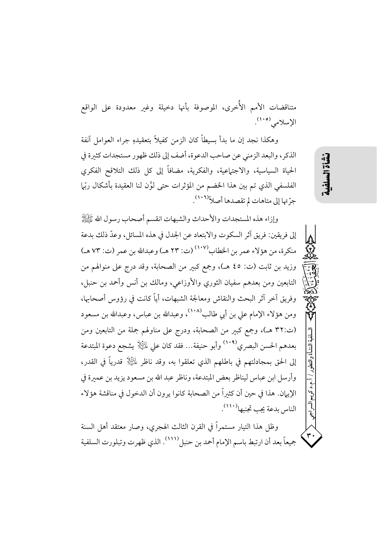متناقضات الأمم الأُخرى، الموصوفة بأنها دخيلة وغير معدودة على الواقع الإسلامى (١٠٥).

وهكذا نجد إن ما بدأ بسيطاً كان الزمن كفيلاً بتعقيده جراء العوامل آنفة الذكر ، والبعد الزمني عن صاحب الدعوة، أضف إلى ذلك ظهور مستجدات كثيرة في الحياة السياسية، والاجتماعية، والفكرية، مضافاً إلى كلِّ ذلك التلاقح الفكري الفلسفي الذي تم بين هذا الخضم من المؤثرات حتى لوَّن لنا العقيدة بأشكال ربِّما جرِّ تها إلى متاهات لم تقصدها أصلاً(١٠٦).

نشأة السلف

سلفية النشأة والتطو

وإزاء هذه المستجدات والأحداث والشبهات انقسم أصحاب رسول الله ﷺ إلى فريقين: فريق آثر السكوت والابتعاد عن الجدل في هذه المسائل، وعدَّ ذلك بدعة منكرة، من هؤلاء عمر بن الخطاب (١٠٧) (ت: ٢٣ هـ) وعبدالله بن عمر (ت: ٧٣ هـ) وزيد بن ثابت (ت: ٤٥ هـ)، وجمع كبير من الصحابة، وقد درج على منوالهم من التابعين ومن بعدهم سفيان الثوري والأوزاعي، ومالك بن أنس وأحمد بن حنبل، وفريق آخر آثر البحث والنقاش ومعالجة الشبهات، أياً كانت في رؤوس أصحابها، ومن هؤلاء الإمام على بن أبي طالب١٠٨)، وعبدالله بن عباس، وعبدالله بن مسعود (ت:٣٢ هـ)، وجمع كبير من الصحابة، ودرج على مناولهم جملة من التابعين ومن بعدهم الحسن البصري<sup>(١٠٩)</sup> وأبو حنيفة… فقد كان على لِلنَيْلَا ِ يشجع دعوة المبتدعة إلى الحق بمجادلتهم في باطلهم الذي تعلقوا به، وقد ناظر لِلتِّيالِ قدرياً في القدر، وأرسل ابن عباس ليناظر بعض المبتدعة، وناظر عبد الله بن مسعود يزيد بن عميرة في الإيهان. هذا في حين أن كثيراً من الصحابة كانوا يرون أن الدخول في مناقشة هؤلاء الناس بدعة يجب تجنبها(١١٠).

وظل هذا التيار مستمراً في القرن الثالث الهجري، وصار معتقد أهل السنة جميعاً بعد أن ارتبط باسم الإمام أحمد بن حنبل (١١١). الذي ظهرت وتبلورت السلفية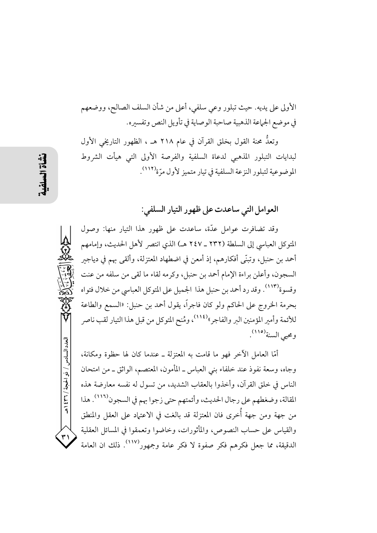الأولى على يديه. حيث تبلور وعي سلفي، أعلى من شأن السلف الصالح، ووضعهم في موضع الجماعة الذهبية صاحبة الوصاية في تأويل النص وتفسيره.

وتعدُّ محنة القول بخلق القرآن في عام ٢١٨ هـ ، الظهور التاريخي الأول لبدايات التبلور المذهبي لدعاة السلفية والفرصة الأولى التي هيأت الشروط الموضوعية لتبلور النزعة السلفية في تيار متميز لأول مرّة''''.

## العوامل التي ساعدت على ظهور التيار السلفي:

وقد تضافرت عوامل عدَّة، ساعدت على ظهور هذا التيار منها: وصول المتوكل العباسي إلى السلطة (٢٣٢ ـ ٢٤٧ هـ) الذي انتصر لأهل الحديث، وإمامهم أحمد بن حنبل، وتبنَّى أفكارهم، إذ أمعن في اضطهاد المعتزلة، وألقى بهم في دياجير السجون، وأعلن براءة الإمام أحمد بن حنبل، وكرمه لقاء ما لقى من سلفه من عنت وقسوة'```. وقد رد أحمد بن حنبل هذا الجميل على المتوكل العباسي من خلال فتواه بحرمة الخروج على الحاكم ولو كان فاجراً، يقول أحمد بن حنبل: «السمع والطاعة للأئمة وأمير المؤمنين البر والفاجر»<sup>(١١٤)</sup>، ومُنح المتوكل من قبل هذا التيار لقب ناصر ومحيى السنة<sup>(١١٥)</sup>.

أمَّا العامل الآخر فهو ما قامت به المعتزلة ـ عندما كان لها حظوة ومكانة، وجاه، وسعة نفوذ عند خلفاء بني العباس ـ المأمون، المعتصم، الواثق ـ من امتحان الناس في خلق القرآن، وأخذوا بالعقاب الشديد، من تسول له نفسه معارضة هذه المقالة، وضغطهم على رجال الحديث، وأئمتهم حتى زجوا بهم في السجون<sup>(١١٦)</sup>. هذا من جهة ومن جهة أُخرى فان المعتزلة قد بالغت في الاعتياد على العقل والمنطق والقياس على حساب النصوص، والمأثورات، وخاضوا وتعمقوا في المسائل العقلية الدقيقة، مما جعل فكرهم فكر صفوة لا فكر عامة وجمهور<sup>(١١٧)</sup>. ذلك ان العامة

العدد السادس / ذو الحجة / ٣٦٦ هـ

 $\uparrow$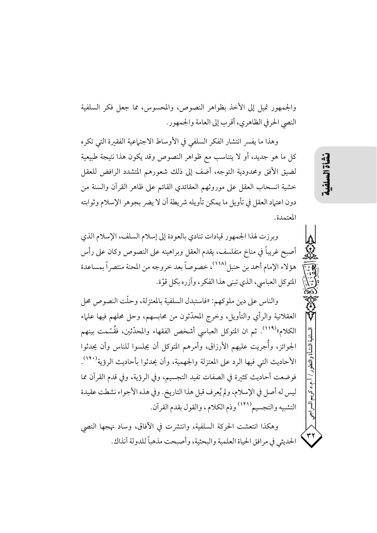والجمهور تميل إلى الأخذ بظواهر النصوص، والمحسوس، مما جعل فكر السلفية النصي الحرفي الظاهري، أقرب إلى العامة والجمهور.

وهذا ما يفسر انتشار الفكر السلفي في الأوساط الاجتماعية الفقبرة التي تكره كلِّ ما هو جديد، أو لا يتناسب مع ظواهر النصوص وقد يكون هذا نتيجة طبيعية لضيق الأفق ومحدودية التوجه، أضف إلى ذلك شعورهم المتشدد الرافض للعقل خشية انسحاب العقل على موروثهم العقائدي القائم على ظاهر القرآن والسنة من دون اعتباد العقل في تأويل ما يمكن تأويله شريطة أن لا يضر بجوهر الإسلام وثوابته المعتمدة.

وبرزت لهذا الجمهور قيادات تنادي بالعودة إلى إسلام السلف، الإسلام الذي أصبح غريباً في مناخ متفلسف، يقدم العقل وبراهينه على النصوص وكان على رأس هؤ لاء الإمام أحمد بن حنبل (١١٨)، خصوصاً بعد خروجه من المحنة منتصر أ بمساعدة المتوكل العباسي، الذي تبني هذا الفكر، وآزره بكل قوّة.

والناس على دين ملوكهم: «فاستبدل السلفية بالمعتزلة، وحلَّت النصوص محل العقلانية والرأي والتأويل، وخرج المحدِّثون من محابسهم، وحل محلهم فيها علماء الكلام»<sup>(١١٩)</sup>. ثم ان المتوكل العباسي أشخص الفقهاء والمحدّثين، فقُسّمت بينهم الجوائز، وأُجريت عليهم الأرزاق، وأمرهم المتوكل أن يجلسوا للناس وأن يحدثوا الأحاديث التي فيها الرد على المعتزلة والجهمية، وأن يحدثوا بأحاديث الرؤية'''''. فوضعت أحاديث كثيرة في الصفات تفيد التجسيم، وفي الرؤية، وفي قدم القرآن مما ليس له أصل في الإسلام، ولم يُعرف قبل هذا التاريخ. وفي هذه الأجواء نشطت عقيدة التشبيه والتجسيم (١٢١) وذم الكلام ، والقول بقدم القرآن.

وهكذا انتعشت الحركة السلفية، وانتشرت في الأفاق، وساد نهجها النصي الحديثي في مرافق الحياة العلمية والبحثية، وأصبحت مذهباً للدولة آنذاك. نشأة المه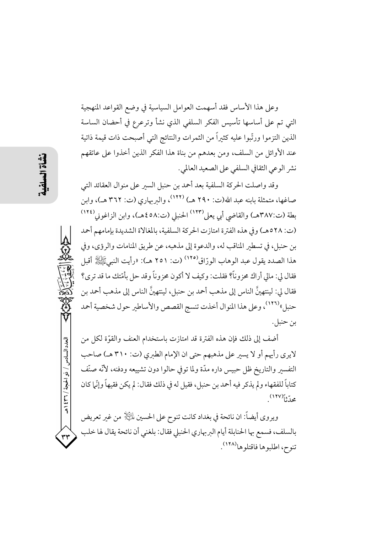وعلى هذا الأساس فقد أسهمت العوامل السياسية في وضع القواعد المنهجية التي تم على أساسها تأسيس الفكر السلفي الذي نشأ وترعرع في أحضان الساسة الذين التزموا ورتّبوا عليه كثيراً من الثمرات والنتائج التي أصبحت ذات قيمة ذاتية عند الأوائل من السلف، ومن بعدهم من بناة هذا الفكر الذين أخذوا على عاتقهم نشر الوعي الثقافي السلفي على الصعيد العالمي.

وقد واصلت الحركة السلفية بعد أحمد بن حنبل السير على منوال العقائد التبي صاغها، متمثلة بابنه عبد الله(ت: ۲۹۰ هـ) <sup>(۱۲۲)</sup>، والبربهاري (ت: ۳۲۲ هـ)، وابن بطة (ت:٣٨٧هـ) والقاضي أبي يعلى(١٢٣) الحنبلي (ت:٥٨هـ)، وابن الزاغوني(١٢٤) (ت: ٥٢٨هـ) وفي هذه الفترة امتازت الحركة السلفية، بالمغالاة الشديدة بإمامهم أحمد بن حنبل، في تسطير المناقب له، والدعوة إلى مذهبه، عن طريق المنامات والرؤى، وفي هذا الصدد يقول عبد الوهاب الورّاق<sup>(١٢٥)</sup> (ت: ٢٥١ هـ): «رأيت النبيﷺ أقبل فقال لي: مالي أراك محزوناً؟ فقلت: وكيف لا أكون محزوناً وقد حل بأمّتك ما قد ترى؟ فقال لي: لينتهينَّ الناس إلى مذهب أحمد بن حنبل، لينتهينَّ الناس إلى مذهب أحمد بن حنبل»<sup>(١٢٦)</sup>، وعلى هذا المنوال أخذت تنسج القصص والأساطير حول شخصية أحمد بن حنبل.

أضف إلى ذلك فإن هذه الفترة قد امتازت باستخدام العنف والقوَّة لكلٍّ من لايري رأيهم أو لا يسير على مذهبهم حتى ان الإمام الطبري (ت: ٣١٠ هـ) صاحب التفسير والتاريخ ظل حبيس داره مدَّة ولما توفي حالوا دون تشييعه ودفنه، لأنَّه صنَّف كتاباً للفقهاء ولم يذكر فيه أحمد بن حنبل، فقيل له في ذلك فقال: لم يكن فقيهاً وإنَّما كان  $(111)^{2}$ 

ويروي أيضاً: ان نائحة في بغداد كانت تنوِح على الحسين لِلتِّالِ من غير تعريض بالسلف، فسمع بها الحنابلة أيام البربهاري الحنبلي فقال: بلغني أن نائحة يقال لها خلب تنوح، اطلبوها فاقتلوها(١٢٨).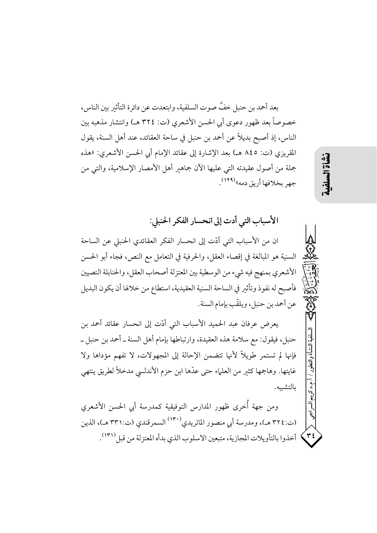بعد أحمد بن حنبل خفَّ صوت السلفية، وابتعدت عن دائرة التأثير بين الناس، خصوصاً بعد ظهور دعوى أبي الحسن الأشعري (ت: ٣٢٤ هـ) وانتشار مذهبه بين الناس، إذ أصبح بديلاً عن أحمد بن حنبل في ساحة العقائد، عند أهل السنة، يقول المقريزي (ت: ٨٤٥ هـ) بعد الإشارة إلى عقائد الإمام أبي الحسن الأشعري: «هذه جملة من أصول عقيدته التي عليها الآن جماهير أهل الأمصار الإسلامية، والتي من جهر بخلافها أريق دمه»<sup>(۱۲۹)</sup>.

الأسباب التي أدت إلى انحسار الفكر الحنبلي:

ان من الأسباب التي أدّت إلى انحسار الفكر العقائدي الحنبلي عن الساحة السنية هو المبالغة في إقصاء العقل، والحرفية في التعامل مع النص، فجاء أبو الحسن الأشعري بمنهج فيه شيء من الوسطية بين المعتزلة أصحاب العقل، والحنابلة النصيين فأصبح له نفوذ وتأثير في الساحة السنية العقيدية، استطاع من خلالها أن يكون البديل عن أحمد بن حنبل، ويلقّب بإمام السنة.

يعرض عرفان عبد الحميد الأسباب التي أدّت إلى انحسار عقائد أحمد بن حنبل، فيقول: مع سلامة هذه العقيدة، وارتباطها بإمام أهل السنة ـ أحمد بن حنبل ــ فإنها لم تستمر طويلاً لأنها تتضمن الإحالة إلى المجهولات، لا تفهم مؤداها ولا غايتها. وهاجمها كثير من العلماء حتى عدّها ابن حزم الأندلسي مدخلاً لطريق ينتهي بالتشىبه.

ومن جهة أُخرى ظهور المدارس التوفيقية كمدرسة أبي الحسن الأشعري (ت:٣٢٤هـ)، ومدرسة أبي منصور الماتريدي(١٣٠) السمرقندي (ت:٣٣١هـ)، الذين أخذوا بالتأويلات المجازية، متبعين الاسلوب الذي بدأه المعتزلة من قبل (١٣١).

# نشأة السلف

 $\left\langle \mathbf{r}\right\rangle$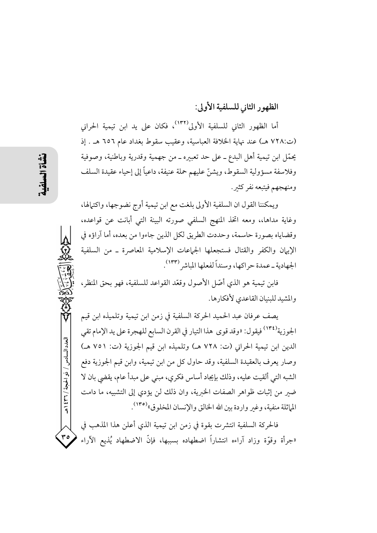## الظهور الثاني للسلفية الأولى:

أما الظهور الثاني للسلفية الأولى<sup>(١٣٢)</sup>، فكان على يد ابن تيمية الحراني (ت:٧٢٨ هـ) عند نهاية الخلافة العباسية، وعقيب سقوط بغداد عام ٦٥٦ هـ . إذ يحمَّل ابن تيمية أهل البدع ــ على حد تعبيره ــ من جهمية وقدرية وباطنية، وصوفية وفلاسفة مسؤولية السقوط، ويشنُّ عليهم حملة عنيفة، داعياً إلى إحياء عقيدة السلف ومنهجهم فيتبعه نفر كثير.

ويمكننا القول ان السلفية الأولى بلغت مع ابن تيمية أوج نضوجها، واكتهالها، وغاية مداها،، ومعه اتخذ المنهج السلفي صورته البينة التي أبانت عن قواعده، وقضاياه بصورة حاسمة، وحددت الطريق لكل الذين جاءوا من بعده، أما آراؤه في الإيهان والكفر والقتال فستجعلها الجهاعات الإسلامية المعاصرة ـ من السلفية الجهادية ـ عمدة حراكها، وسنداً لفعلها المباشر (١٣٣).

فابن تيمية هو الذي أصّل الأصول وقعّد القواعد للسلفية، فهو بحق المنظر، والمشبد للبنيان القاعدي لأفكارها.

يصف عرفان عبد الحميد الحركة السلفية في زمن ابن تيمية وتلميذه ابن قيم الجوزية<sup>(١٣٤)</sup> فيقول: «وقد قوى هذا التيار في القرن السابع للهجرة على يد الإمام تقي الدين ابن تيمية الحراني (ت: ٧٢٨ هـ) وتلميذه ابن قيم الجوزية (ت: ٧٥١ هـ) وصار يعرف بالعقيدة السلفية، وقد حاول كل من ابن تيمية، وابن قيم الجوزية دفع الشبه التي ألقيت عليه، وذلك بإيجاد أساس فكرى، مبنى على مبدأ عام، يقضي بان لا ضبر من إثبات ظواهر الصفات الخبرية، وإن ذلك لن يؤدي إلى التشبيه، ما دامت الماثلة منفية، وغير واردة بين الله الخالق والإنسان المخلوق»<sup>(١٣٥</sup>).

فالحركة السلفية انتشرت بقوة في زمن ابن تيمية الذي أعلن هذا المذهب في «جرأة وقوَّة وزاد آراءه انتشاراً اضطهاده بسببها، فإنَّ الاضطهاد يُذيع الآراء

العدد السادس / ذو الحجة / ٣٦٦ / هـ

 $r \circ$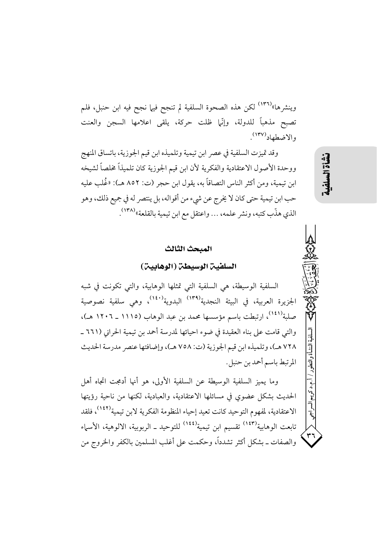وينشرها»<sup>(١٣٦)</sup> لكن هذه الصحوة السلفية لم تنجح فيها نجح فيه ابن حنبل، فلم تصبح مذهباً للدولة، وإنَّما ظلت حركة، يلقى اعلامها السجن والعنت والاضطهاد (۱۳۷).

وقد تميزت السلفية في عصر ابن تيمية وتلميذه ابن قيم الجوزية، باتساق المنهج ووحدة الأصول الاعتقادية والفكرية لأن ابن قيم الجوزية كان تلميذاً مخلصاً لشيخه ابن تيمية، ومن أكثر الناس التصاقاً به، يقول ابن حجر (ت: ٨٥٢ هـ): «غُلب عليه حب ابن تيمية حتى كان لا يخرج عن شيء من أقواله، بل ينتصر له في جميع ذلك، وهو الذي هذَّب كتبه، ونشر علمه، … واعتقل مع ابن تيمية بالقلعة»<sup>(١٣٨)</sup>.

#### المبحث الثالث

### السلفين الوسيطن (الوهابين)

السلفية الوسيطة، هي السلفية التي تمثلها الوهابية، والتي تكونت في شبه الجزيرة العربية، في البيئة النجدية<sup>(١٣٩)</sup> البدوية<sup>(١٤٠)</sup>، وهي سلفية نصوصية صلبة <sup>(١٤١)</sup>، ارتبطت باسم مؤسسها محمد بن عبد الوهاب (١١١٥ ـ ١٢٠٦ هـ)، والتي قامت على بناء العقيدة في ضوء احيائها لمدرسة أحمد بن تيمية الحراني (٦٦١ ـ ٧٢٨ هـ)، وتلميذه ابن قيم الجوزية (ت: ٧٥٨ هـ)، وإضافتها عنصر مدرسة الحديث الم تبط باسم أحمد بن حنبل.

وما يميز السلفية الوسيطة عن السلفية الأولى، هو أنها أدمجت اتجاه أهل الحديث بشكل عضوى في مسائلها الاعتقادية، والعبادية، لكنها من ناحية رؤيتها الاعتقادية، لمفهوم التوحيد كانت تعيد إحياء المنظومة الفكرية لابن تيمية<sup>(١٤٢)</sup>، فلقد تابعت الوهابية<sup>(١٤٣)</sup> تقسيم ابن تيمية<sup>(١٤٤)</sup> للتوحيد ـ الربوبية، الالوهية، الأسماء والصفات ــ بشكل أكثر تشدداً، وحكمت على أغلب المسلمين بالكفر والخروج من النشأة والتطور

أكسراجي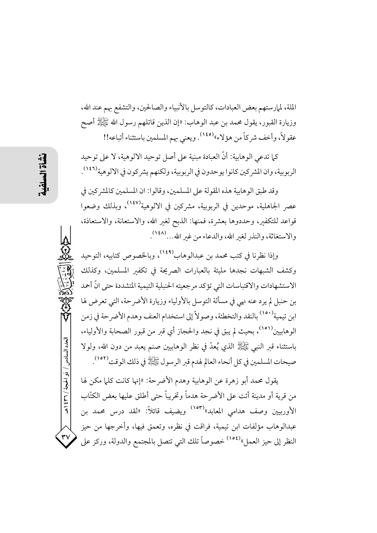الملة، لمارستهم بعض العبادات، كالتوسل بالأنبياء والصالحين، والتشفع بهم عند الله، وزيارة القبور، يقول محمد بن عبد الوهاب: «إن الذين قاتلهم رسول الله ﷺ أصح عقولاً، وأخف شركاً من هؤلاء"<sup>(١٤٥)</sup>. ويعني بهم المسلمين باستثناء أتباعه!!

كما تدعى الوهابية: أنَّ العبادة مبنية على أصل توحيد الآلوهية، لا على توحيد الربوبية، وان المشركين كانوا يوحدون في الربوبية، ولكنهم يشركون في الالوهية<sup>(١٤٦)</sup>.

وقد طبق الوهابية هذه المقولة على المسلمين، وقالوا: ان المسلمين كالمشركين في عصر الجاهلية، موحدين في الربوبية، مشركين في الالوهية<sup>(١٤٧)</sup>، وبذلك وضعوا قواعد للتكفير، وحددوها بعشرة، فمنها: الذبح لغير الله، والاستعانة، والاستعاذة، والاستغاثة، والنذر لغير الله، والدعاء من غير الله...<sup>(١٤٨</sup>).

وإذا نظرنا في كتب محمد بن عبدالوهاب<sup>(١٤٩)</sup>، وبالخصوص كتابيه، التوحيد وكشف الشبهات نجدها مليئة بالعبارات الصريحة في تكفير المسلمين، وكذلك الاستشهادات والاقتباسات التي تؤكد مرجعيته الحنبلية التيمية المتشددة حتى انّ أحمد بن حنبل لم يرد عنه نهى في مسألة التوسل بالأولياء وزيارة الأضرحة، التي تعرض لها ابن تيمية<sup>(١٥٠)</sup> بالنقد والتخطئة، وصولاً إلى استخدام العنف وهدم الأضر حة في زمن الوهابيين<sup>(١٥١)</sup>، بحيث لم يبق في نجد والحجاز أي قبر من قبور الصحابة والأولياء، بِاسْتِنْنَاءَ قَبْرِ النَّبِيِّ ﷺ الَّذِي يُعِدُّ فِي نَظَّرِ الوهابِيِّينِ صِنْمٍ يَعْبِدْ مِنْ دُونِ الله، ولولا صيحات المسلمين في كل أنحاء العالم لهدم قبر الرسول ﷺ في ذلك الوقت (١٥٢).

يقول محمد أبو زهرة عن الوهابية وهدم الأضرحة: «إنها كانت كلما مكن لها من قرية أو مدينة أتت على الأضرحة هدماً وتخريباً حتى أطلق عليها بعض الكتّاب الأوربيين وصف هدامي المعابد»<sup>(١٥٣)</sup> ويضيف قائلاً: «لقد درس محمد بن عبدالوهاب مؤلفات ابن تيمية، فراقت في نظره، وتعمق فيها، وأخرجها من حيز النظر إلى حيز العمل"<sup>(١٥٤)</sup> خصوصاً تلك التي تتصل بالمجتمع والدولة، وركز على

العدد السادس / ذو الحجة / ٣٦ ٤ ٩ هـ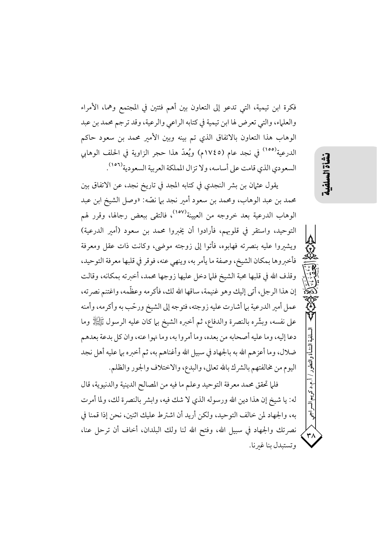فكرة ابن تيمية، التي تدعو إلى التعاون بين أهم فئتين في المجتمع وهما، الأمراء والعلماء، والتي تعرض لها ابن تيمية في كتابه الراعي والرعية، وقد ترجم محمد بن عبد الوهاب هذا التعاون بالاتفاق الذي تم بينه وبين الأمير محمد بن سعود حاكم الدرعية<sup>(١٥٥)</sup> في نجد عام (١٧٤٥م) ويُعدّ هذا حجر الزاوية في الحلف الوهابي السعودي الذي قامت على أساسه، ولا تزال المملكة العربية السعودية<sup>(١٥٦</sup>).

يقول عثمان بن بشر النجدي في كتابه المجد في تاريخ نجد، عن الاتفاق بين محمد بن عبد الوهاب، ومحمد بن سعود أمير نجد ب<sub>ع</sub>ا نصّه: «وصل الشيخ ابن عبد الوهاب الدرعية بعد خروجه من العيينة<sup>(١٥٧)</sup>، فالتقى ببعض رجالها، وقرر لهم التوحيد، واستقر في قلوبهم، فأرادوا أن يخبروا محمد بن سعود (أمير الدرعية) ويشيروا عليه بنصرته فهابوه، فأتوا إلى زوجته موضى، وكانت ذات عقل ومعرفة فأخبروها بمكان الشيخ، وصفة ما يأمر به، وينهي عنه، فوقر في قلبها معرفة التوحيد، وقذف الله في قلبها محبة الشيخ فلما دخل عليها زوجها محمد، أخبرته بمكانه، وقالت إن هذا الرجل، أتى إليك وهو غنيمة، ساقها الله لك، فأكرمه وعظَّمه، واغتنم نصرته، عمل أمير الدرعية بما أشارت عليه زوجته، فتوجه إلى الشيخ ورحّب به وأكرمه، وأمنه على نفسه، وبشَّره بالنصرة والدفاع، ثم أخبره الشيخ بـما كـان عليه الرسول ﷺ وما دعا إليه، وما عليه أصحابه من بعده، وما أمروا به، وما نهوا عنه، وان كل بدعة بعدهم ضلال، وما أعزهم الله به بالجهاد في سبيل الله وأغناهم به، ثم أخبره بها عليه أهل نجد اليوم من مخالفتهم بالشرك بالله تعالى، والبدع، والاختلاف والجور والظلم.

فلما تحقق محمد معرفة التوحيد وعلم ما فيه من المصالح الدينية والدنيوية، قال له: يا شيخ إن هذا دين الله ورسوله الذي لا شك فيه، وابشر بالنصرة لك، ولما أمرت به، والجهاد لمن خالف التوحيد، ولكن أريد أن اشترط عليك اثنين، نحن إذا قمنا في نصرتك والجهاد في سبيل الله، وفتح الله لنا ولك البلدان، أخاف أن ترحل عنا، و تستىدل ينا غىر نا. لنشأة والتطور

۳۸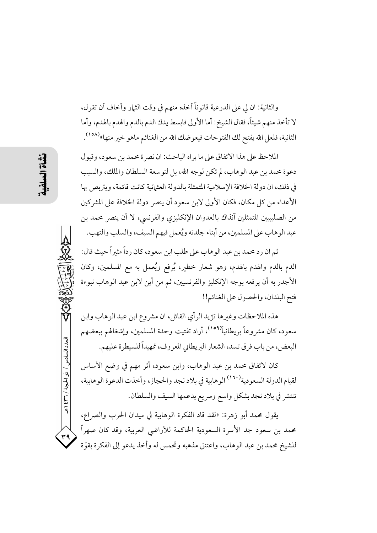والثانية: ان لي على الدرعية قانوناً أخذه منهم في وقت الثمار وأخاف أن تقول، لا تأخذ منهم شيئاً، فقال الشيخ: أما الأولى فابسط يدك الدم بالدم والهدم بالهدم، وأما الثانية، فلعل الله يفتح لك الفتوحات فيعوضك الله من الغنائم ماهو خير منها»(<sup>١٥٨)</sup> .

الملاحظ على هذا الاتفاق على ما يراه الباحث: ان نصر ة محمد بن سعود، وقبو ل دعوة محمد بن عبد الوهاب، لم تكن لوجه الله، بل لتوسعة السلطان والملك، والسبب في ذلك، ان دولة الخلافة الإسلامية المتمثلة بالدولة العثمانية كانت قائمة، ويتربص بها الأعداء من كل مكان، فكان الأولى لابن سعود أن ينصر دولة الخلافة على المشركين من الصليبيين المتمثلين آنذاك بالعدوان الإنكليزي والفرنسي، لا أن ينصر محمد بن عبد الوهاب على المسلمين، من أبناء جلدته ويُعمل فيهم السيف، والسلب والنهب.

ثم ان رد محمد بن عبد الوهاب على طلب ابن سعود، كان رداً مثىراً حيث قال: الدم بالدم والهدم بالهدم، وهو شعار خطير، يُرفع ويُعمل به مع المسلمين، وكان الأجدر به أن يرفعه بوجه الإنكليز والفرنسيين، ثم من أين لابن عبد الوهاب نبوءة فتح البلدان، والحصول على الغنائم!!

هذه الملاحظات وغيرها تؤيد الرأي القائل، ان مشروع ابن عبد الوهاب وابن سعود، كان مشروعاً بريطانياً<sup>(١٥٩)</sup>، أراد تفتيت وحدة المسلمين، وإشغالهم ببعضهم البعض، من باب فرق تسد، الشعار البريطاني المعروف، تمهيداً للسيطرة عليهم.

كان لاتفاق محمد بن عبد الوهاب، وابن سعود، أثر مهم في وضع الأساس لقيام الدولة السعودية'''') الوهابية في بلاد نجد والحجاز، وأخذت الدعوة الوهابية، تنتشر في بلاد نجد بشكل واسع وسريع يدعمها السيف والسلطان.

يقول محمد أبو زهرة: «لقد قاد الفكرة الوهابية في ميدان الحرب والصراع، محمد بن سعود جد الأسرة السعودية الحاكمة للأراضى العربية، وقد كان صهراً للشيخ محمد بن عبد الوهاب، واعتنق مذهبه وتحمس له وأخذ يدعو إلى الفكرة بقوّة

العدد السادس / ذو الحبجة / ٣٦ / ٤٣٩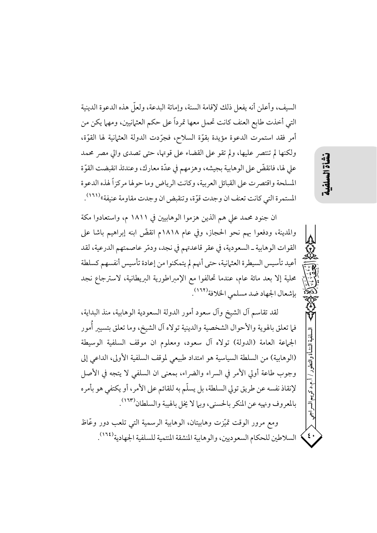السيف، وأعلن أنه يفعل ذلك لإقامة السنة، وإماتة البدعة، ولعلَّ هذه الدعوة الدينية التي أخذت طابع العنف كانت تحمل معها تمرداً على حكم العثمانيين، ومهما يكن من أمر فقد استمرت الدعوة مؤيدة بقوّة السلاح، فجرّدت الدولة العثمانية لها القوّة، ولكنها لم تنتصر عليها، ولم تقو على القضاء على قوتها، حتى تصدى والي مصر محمد على لها، فانقضَّ على الوهابية بجيشه، وهزمهم في عدَّة معارك، وعندئذ انقبضت القوَّة المسلحة واقتصرت على القبائل العربية، وكانت الرياض وما حو لها مركزاً لهذه الدعوة المستمرة التي كانت تعنف ان وجدت قوّة، وتنقبض ان وجدت مقاومة عنيفة»<sup>(١٦١)</sup>.

ان جنود محمد على هم الذين هزموا الوهابيين في ١٨١١ م، واستعادوا مكة والمدينة، ودفعوا بهم نحو الحجاز، وفي عام ١٨١٨م انقضَّ ابنه إبراهيم باشا على القوات الوهابية ـ السعودية، في عقر قاعدتهم في نجد، ودمّر عاصمتهم الدرعية، لقد أعيد تأسيس السيطرة العثمانية، حتى أنهم لم يتمكنوا من إعادة تأسيس أنفسهم كسلطة محلية إلا بعد مائة عام، عندما تحالفوا مع الإمبراطورية البريطانية، لاسترجاع نجد بإشعال الجهاد ضد مسلمي الخلافة<sup>(١٦٢</sup>).

لقد تقاسم آل الشيخ وآل سعود أمور الدولة السعودية الوهابية، منذ البداية، فما تعلق بالهوية والأحوال الشخصية والدينية تولاه آل الشيخ، وما تعلق بتسيير أُمور الجماعة العامة (الدولة) تولاه آل سعود، ومعلوم ان موقف السلفية الوسيطة (الوهابية) من السلطة السياسية هو امتداد طبيعي لموقف السلفية الأولى، الداعي إلى وجوب طاعة أولي الأمر في السراء والضراء، بمعنى ان السلفي لا يتجه في الأصل لإنقاذ نفسه عن طريق تولي السلطة، بل يسلَّم به للقائم على الأمر، أو يكتفي هو بأمره بالمعروف ونهيه عن المنكر بالحسنى، وبيا لا يخل بالهيبة والسلطان(١٦٣).

ومع مرور الوقت تميّزت وهابيتان، الوهابية الرسمية التي تلعب دور وعّاظ السلاطين للحكام السعوديين، والوهابية المنشقة المنتمية للسلفية الجهادية (١٦٤).

 $\mathcal{L}$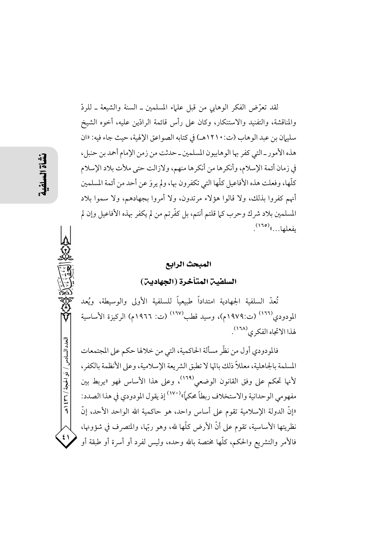لقد تعرَّض الفكر الوهابي من قبل علياء المسلمين ــ السنة والشيعة ــ للردِّ والمناقشة، والتفنيد والاستنكار، وكان على رأس قائمة الرادّين عليه، أخوه الشيخ سليهان بن عبد الوهاب (ت: ١٢١٠هـ) في كتابه الصواعق الإلهية، حيث جاء فيه: «ان هذه الأمور \_ التي كفر بها الوهابيون المسلمين \_ حدثت من زمن الإمام أحمد بن حنبل، في زمان أئمة الإسلام، وأنكرها من أنكرها منهم، ولازالت حتى ملأت بلاد الإسلام كلَّها، وفعلت هذه الأفاعيل كلَّها التي تكفرون بها، ولم يروَ عن أحد من أئمة المسلمين أنهم كفروا بذلك، ولا قالوا هؤلاء مرتدون، ولا أمروا بجهادهم، ولا سموا بلاد المسلمين بلاد شرك وحرب كما قلتم أنتم، بل كفَّرتم من لم يكفر بهذه الأفاعيل وإن لم يفعلها...»<sup>(١٦٥)</sup>.

## المبحث الرابع

## السلفين المتأخرة (الجهادين)

تُعدّ السلفية الجهادية امتداداً طبيعياً للسلفية الأولى والوسيطة، ويُعد المودودي<sup>(١٦٦)</sup> (ت:١٩٧٩م)، وسيد قطب<sup>(١٦٧)</sup> (ت: ١٩٦٦م) الركيزة الأساسية لهذا الاتجاه الفكرى (١٦٨).

فالمودودي أول من نظَّر مسألة الحاكمية، التي من خلالها حكم على المجتمعات المسلمة بالجاهلية، معللاً ذلك باتّها لا تطبق الشريعة الإسلامية، وعلى الأنظمة بالكفر، لأنها تحكم على وفق القانون الوضعي<sup>(١٦٩)</sup>، وعلى هذا الأساس فهو «يربط بين مفهومي الوحدانية والاستخلاف ربطاً محكماً»<sup>(١٧٠)</sup> إذ يقول المو دودي في هذا الصدد: «إنَّ الدولة الإسلامية تقوم على أساس واحد، هو حاكمية الله الواحد الأحد، إنّ نظريتها الأساسية، تقوم على أنَّ الأرض كلَّها لله، وهو ربَّها، والمتصرف في شؤونها، فالأمر والتشريع والحكم، كلَّها مختصة بالله وحده، وليس لفرد أو أسرة أو طبقة أو

العدد السادس / ذو الحجة / ٣٦ / ٤٣٩

 $\left( \epsilon \right)$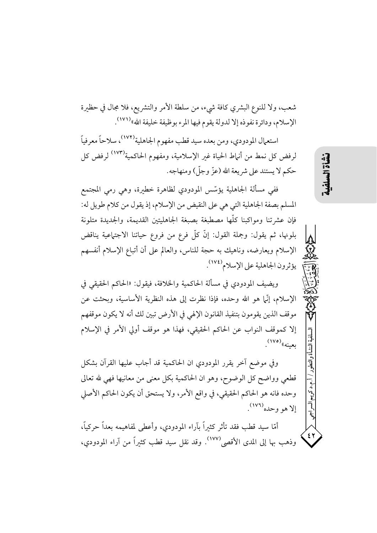شعب، ولا للنوع البشري كافة شيء، من سلطة الأمر والتشريع، فلا مجال في حظيرة الإسلام، ودائرة نفوذه إلا لدولة يقوم فيها المرء بوظيفة خليفة الله»<sup>(١٧١)</sup>.

استعمال المودودي، ومن بعده سيد قطب مفهوم الجاهلية<sup>(١٧٢)</sup>، سلاحاً معرفياً لرفض كل نمط من أنباط الحياة غير الإسلامية، ومفهوم الحاكمية<sup>(١٧٣)</sup> لرفض كل حكم لا يستند على شريعة الله (عزّ وجلّ) ومنهاجه.

ففي مسألة الجاهلية يؤسّس المودودي لظاهرة خطيرة، وهي رمي المجتمع المسلم بصفة الجاهلية التي هي على النقيض من الإسلام، إذ يقول من كلام طويل له: فإن عشرتنا ومواكبنا كلَّها مصطبغة بصبغة الجاهليتين القديمة، والجديدة متلونة بلونها، ثم يقول: وجملة القول: إنَّ كلَّ فرعٍ من فروعٍ حياتنا الاجتهاعية يناقض الإسلام ويعارضه، وناهيك به حجة للناس، والعالم على أن أتباع الإسلام أنفسهم يؤثرون الجاهلية على الإسلام (١٧٤).

ويضيف المودودي في مسألة الحاكمية والخلافة، فيقول: «الحاكم الحقيقي في الإسلام، إنَّما هو الله وحده، فإذا نظرت إلى هذه النظرية الأساسية، وبحثت عن موقف الذين يقومون بتنفيذ القانون الإلهي في الأرض تبين لك أنه لا يكون موقفهم إلا كموقف النواب عن الحاكم الحقيقي، فهذا هو موقف أولى الأمر في الإسلام بعينه»(١٧٥)<sub>.</sub>

وفي موضع آخر يقرر المودودي ان الحاكمية قد أجاب عليها القرآن بشكل قطعي وواضح كل الوضوح، وهو ان الحاكمية بكل معنى من معانيها فهي لله تعالى وحده فانه هو الحاكم الحقيقي، في واقع الأمر، ولا يستحق أن يكون الحاكم الأصلي إلا هو وحده<sup>(١٧٦)</sup>.

أمَّا سيد قطب فقد تأثَّر كثيراً بآراء المودودي، وأعطى لمفاهيمه بعداً حركياً، وذهب بها إلى المدى الأقصى <sup>(١٧٧)</sup>. وقد نقل سيد قطب كثيراً من آراء المودودي، النشأة والتطه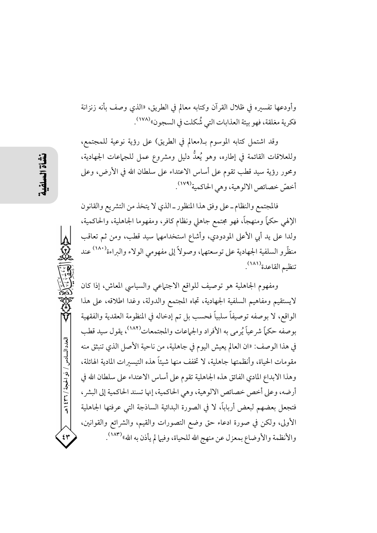وأودعها تفسيره في ظلال القرآن وكتابه معالم في الطريق، «الذي وصف بأنه زنزانة فكرية مغلقة، فهو بيئة العذابات التي شُكلت في السجون»<sup>(١٧٨)</sup>.

وقد اشتمل كتابه الموسوم بـ(معالم في الطريق) على رؤية نوعية للمجتمع، وللعلاقات القائمة في إطاره، وهو يُعدُّ دليلٍ ومشروعٍ عملٍ للجماعات الجهادية، ومحور رؤية سيد قطب تقوم على أساس الاعتداء على سلطان الله في الأرض، وعلى أخصّ خصائص الالوهية، وهي الحاكمية'<sup>(١٧٩)</sup>.

فالمجتمع والنظام ـ على وفق هذا المنظور ـ الذي لا يتخذ من التشريع والقانون الإلهي حكماً ومنهجاً، فهو مجتمع جاهلي ونظام كافر، ومفهوما الجاهلية، والحاكمية، ولدا على يد أبي الأعلى المودودي، وأشاع استخدامهما سيد قطب، ومن ثم تعاقب منظَّرو السلفية الجهادية على توسعتهما، وصولاً إلى مفهومي الولاء والبراءة```` عند تنظيم القاعدة (١٨١).

ومفهوم الجاهلية هو توصيف للواقع الاجتهاعي والسياسي المعاش، إذا كان لايستقيم ومفاهيم السلفية الجهادية، تجاه المجتمع والدولة، وغدا اطلاقه، على هذا الواقع، لا بوصفه توصيفاً سلبياً فحسب بل تم إدخاله في المنظومة العقدية والفقهية بوصفه حكماً شرعياً يُرمى به الأفراد والجماعات والمجتمعات<sup>(١٨٢)</sup>، يقول سيد قطب في هذا الوصف: «ان العالم يعيش اليوم في جاهلية، من ناحية الأصل الذي تنبثق منه مقومات الحياة، وأنظمتها جاهلية، لا تخفف منها شيئاً هذه التيسبرات المادية الهائلة، وهذا الابداع المادي الفائق هذه الجاهلية تقوم على أساس الاعتداء على سلطان الله في أرضه، وعلى أخص خصائص الالوهية، وهي الحاكمية، إنها تسند الحاكمية إلى البشر ، فتجعل بعضهم لبعض أرباباً، لا في الصورة البدائية الساذجة التي عرفتها الجاهلية الأولى، ولكن في صورة ادعاء حق وضع التصورات والقيم، والشرائع والقوانين، والأنظمة والأوضاع بمعزل عن منهج الله للحياة، وفيها لم يأذن به الله»٬۱۸۳٬

العدد السادس / ذو الحجة / ٣٦٦ / هـ

٤٣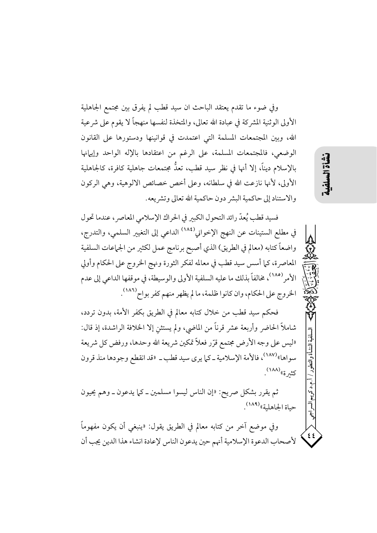وفي ضوء ما تقدم يعتقد الباحث ان سيد قطب لم يفرق بين مجتمع الجاهلية الأولى الوثنية المشركة في عبادة الله تعالى، والمتخذة لنفسها منهجاً لا يقوم على شرعية الله، وبين المجتمعات المسلمة التي اعتمدت في قوانينها ودستورها على القانون الوضعي، فالمجتمعات المسلمة، على الرغم من اعتقادها بالإله الواحد وإيهانها بالإسلام ديناً، إلا أنها في نظر سيد قطب، تعدُّ مجتمعات جاهلية كافرة، كالجاهلية الأولى، لأنها نازعت الله في سلطانه، وعلى أخص خصائص الالوهية، وهي الركون والاستناد إلى حاكمية البشر دون حاكمية الله تعالى وتشريعه.

فسيد قطب يُعدّ رائد التحول الكبير في الحراك الإسلامي المعاصر، عندما تحول في مطلع الستينات عن النهج الإخواني<sup>(١٨٤)</sup> الداعي إلى التغيير السلمي، والتدرج، واضعاً كتابه (معالم في الطريق) الذي أصبح برنامج عمل لكثير من الجماعات السلفية المعاصرة، كما أسس سيد قطب في معالمه لفكر الثورة ونهج الخروج على الحكام وأولي الأمر (١٨٥)، مخالفاً بذلك ما عليه السلفية الأولى والوسيطة، في موقفها الداعي إلى عدم الخروج على الحكام، وان كانوا ظلمة، ما لم يظهر منهم كفر بواح (١٨٦).

فحكم سيد قطب من خلال كتابه معالم في الطريق بكفر الأمة، بدون تردد، شاملاً الحاضر وأربعة عشر قرناً من الماضي، ولم يستثن إلا الخلافة الراشدة، إذ قال: «ليس على وجه الأرض مجتمع قرّر فعلاً تمكين شريعة الله وحدها، ورفض كل شريعة سواها»<sup>(۱۸۷)</sup>، فالأمة الإسلامية ـ كما يرى سيد قطب ـ «قد انقطع وجودها منذ قرون کثىرة»<sup>(۱۸۸</sup>).

ثم يقرر بشكل صريح: «إن الناس ليسوا مسلمين ـ كما يدعون ـ وهم يحيون حياة الجاهلية» (١٨٩)

وفي موضع آخر من كتابه معالم في الطريق يقول: «ينبغي أن يكون مفهوماً  $\epsilon$ لأصحاب الدعوة الإسلامية أنهم حين يدعون الناس لإعادة انشاء هذا الدين يجب أن

نشأة الس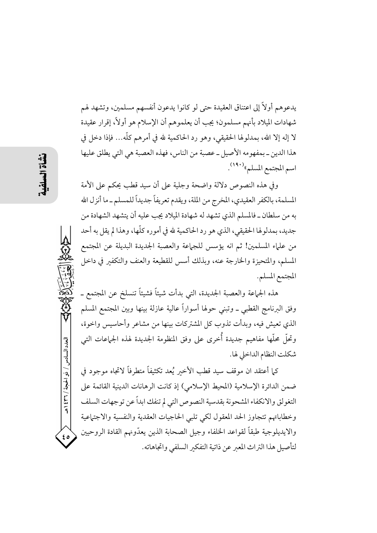يدعوهم أولاً إلى اعتناق العقيدة حتى لو كانوا يدعون أنفسهم مسلمين، وتشهد لهم شهادات الميلاد بأنهم مسلمون؛ يجب أن يعلموهم أن الإسلام هو أولاً، إقرار عقيدة لا إله إلا الله، بمدلولها الحقيقي، وهو رد الحاكمية لله في أمرهم كلَّه... فإذا دخل في هذا الدين ـ بمفهو مه الأصيل ـ عصبة من الناس، فهذه العصبة هي التي يطلق عليها اسم المجتمع المسلم»<sup>(١٩٠)</sup>.

وفي هذه النصوص دلالة واضحة وجلية على أن سيد قطب يحكم على الأمة المسلمة، بالكفر العقيدي، المخرج من الملة، ويقدم تعريفاً جديداً للمسلم ـ ما أنزل الله به من سلطان ــ فالمسلم الذي تشهد له شهادة الميلاد يجب عليه أن يتشهد الشهادة من جديد، بمدلولها الحقيقي، الذي هو رد الحاكمية لله في أموره كلَّها، وهذا لم يقل به أحد من علماء المسلمين! ثم انه يؤسس للجماعة والعصبة الجديدة البديلة عن المجتمع المسلم، والمتحيزة والخارجة عنه، وبذلك أسس للقطيعة والعنف والتكفير في داخل المجتمع المسلم.

هذه الجماعة والعصبة الجديدة، التي بدأت شيئاً فشيئاً تنسلخ عن المجتمع ــ وفق البرنامج القطبي ــ وتبنى حولها أسواراً عالية عازلة بينها وبين المجتمع المسلم الذي تعيش فيه، وبدأت تذوب كل المشتركات بينها من مشاعر وأحاسيس واخوة، وتحلُّ محلَّها مفاهيم جديدة أُخرى على وفق المنظومة الجديدة لهذه الجماعات التـى شكلت النظام الداخلي لها.

كما أعتقد ان موقف سيد قطب الأخير يُعد تكثيفاً متطرفاً لاتجاه موجود في ضمن الدائرة الإسلامية (المحيط الإسلامي) إذ كانت الرهانات الدينية القائمة على التغولق والانكفاء المشحونة بقدسية النصوص التي لم تنفك ابداً عن توجهات السلف وخطاباتهم تتجاوز الحد المعقول لكى تلبى الحاجيات العقدية والنفسية والاجتماعية والايديلوجية طبقاً لقواعد الخلفاء وجيل الصحابة الذين يعدّونهم القادة الروحيين لتأصيل هذا التراث المعبر عن ذاتية التفكير السلفي واتجاهاته.

العدد السادس / ذو الحجة / ٣٦٦ هـ

 $\epsilon$  0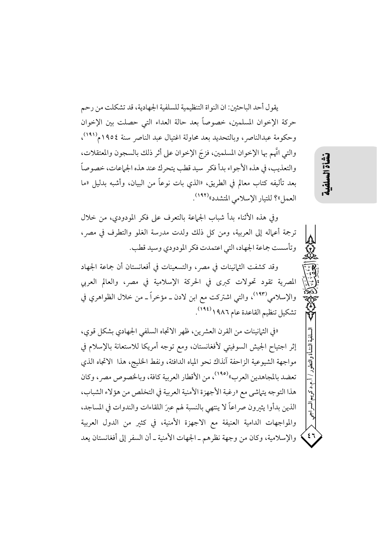يقو ل أحد الباحثين: ان النواة التنظيمية للسلفية الجهادية، قد تشكلت من رحم حركة الإخوان المسلمين، خصوصاً بعد حالة العداء التي حصلت بين الإخوان وحكومة عبدالناصر، وبالتحديد بعد محاولة اغتيال عبد الناصر سنة ١٩٥٤م°۱۹۱). والتي اتَّهم بها الإخوان المسلمين، فزجَ الإخوان على أثر ذلك بالسجون والمعتقلات، والتعذيب، في هذه الأجواء بدأ فكرٍ سيد قطبٍ يتحرك عند هذه الجماعات، خصوصاً بعد تأليفه كتاب معالم في الطريق، «الذي بات نوعاً من البيان، وأشبه بدليل «ما العمل»؟ للتيار الإسلامي المتشدد»<sup>(١٩٢</sup>).

وفي هذه الأثناء بدأ شباب الجماعة بالتعرف على فكر المودوي، من خلال ترجمة أعماله إلى العربية، ومن كلِّ ذلك ولدت مدرسة الغلو والتطرف في مصر، وتأسست جماعة الجهاد، التي اعتمدت فكر المودودي وسيد قطب.

وقد كشفت الثمانينات في مصر، والتسعينات في أفعانستان أن جماعة الجهاد المصرية تقود تحولات كبرى في الحركة الإسلامية في مصر، والعالم العربي والإسلامي<sup>(١٩٣)</sup>، والتي اشتركت مع ابن لادن ــ مؤخراً ــ من خلال الظواهري في تشكيل تنظيم القاعدة عام ١٩٨٦ (١٩٤).

«في الثمانينات من القرن العشرين، ظهر الاتجاه السلفي الجهادي بشكل قوى، إثر اجتياح الجيش السوفيتي لأفغانستان، ومع توجه أمريكا للاستعانة بالإسلام في مواجهة الشيوعية الزاحفة آنذاك نحو المياه الدافئة، ونفط الخليج، هذا الاتجاه الذي تعضد بالمجاهدين العرب»<sup>(١٩٥)</sup>، من الأقطار العربية كافة، وبالخصوص مصر ، وكان هذا التوجه يتماشى مع «رغبة الأجهزة الأمنية العربية في التخلص من هؤ لاء الشباب، الذين بدأوا يثيرون صراعاً لا ينتهي بالنسبة لهم عبرَ اللقاءات والندوات في المساجد، والمواجهات الدامية العنيفة مع الاجهزة الأمنية، في كثير من الدول العربية والإسلامية، وكان من وجهة نظرهم ـ الجهات الأمنية ـ أن السفر إلى أفغانستان يعد نشأة المه

آلسراجي

 $\epsilon$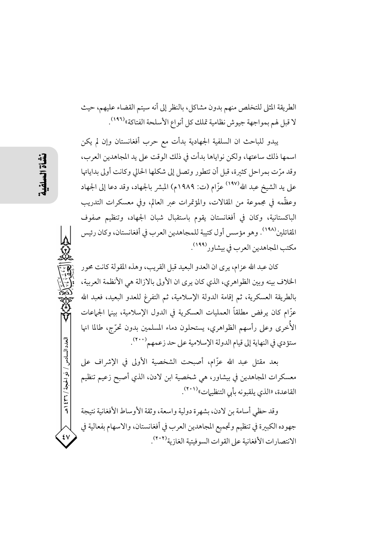الطريقة المثلي للتخلص منهم بدون مشاكل، بالنظر إلى أنه سيتم القضاء عليهم، حيث لا قبل لهم بمواجهة جيوش نظامية تملك كل أنواع الأسلحة الفتاكة»<sup>(١٩٦</sup>`.

يبدو للباحث ان السلفية الجهادية بدأت مع حرب أفغانستان وإن لم يكن اسمها ذلك ساعتها، ولكن نواياها بدأت في ذلك الوقت على يد المجاهدين العرب، وقد مرّت بمراحل كثيرة، قبل أن تتطور وتصل إلى شكلها الحالي وكانت أولى بداياتها على يد الشيخ عبد الله<sup>(١٩٧)</sup> عزّام (ت: ١٩٨٩م) المبشر بالجهاد، وقد دعا إلى الجهاد وعظَّمه في مجموعة من المقالات، والمؤتمرات عبر العالم، وفي معسكرات التدريب الباكستانية، وكان في أفغانستان يقوم باستقبال شبان الجهاد، وتنظيم صفوف المقاتلين'<sup>١٩٨)</sup>. وهو مؤسس أول كتيبة للمجاهدين العرب في أفغانستان، وكان رئيس مكتب المجاهدين العرب في بيشاور (١٩٩).

كان عبد الله عزام، يرى ان العدو البعيد قبل القريب، وهذه المقولة كانت محور الخلاف بينه وبين الظواهري، الذي كان يرى ان الأولى بالازالة هي الأنظمة العربية، بالطريقة العسكرية، ثم إقامة الدولة الإسلامية، ثم التفرغ للعدو البعيد، فعبد الله عزَّام كان يرفض مطلقاً العمليات العسكرية في الدول الإسلامية، بينها الجماعات الأخرى وعلى رأسهم الظواهري، يستحلون دماء المسلمين بدون تحرّج، طالما انها ستؤدي في النهاية إلى قيام الدولة الإسلامية على حد زعمهم (٢٠٠٠).

بعد مقتل عبد الله عزَّام، أصبحت الشخصية الأولى في الإشراف على معسكرات المجاهدين في بيشاور، هي شخصية ابن لادن، الذي أصبح زعيم تنظيم القاعدة، «الذي يلقبونه بأبي التنظيمات» (٢٠١).

وقد حظى أسامة بن لادن، بشهرة دولية واسعة، وثقة الأوساط الأفغانية نتيجة جهوده الكبيرة في تنظيم وتجميع المجاهدين العرب في أفغانستان، والاسهام بفعالية في الانتصارات الأفغانية على القوات السوفيتية الغازية'```.

العدد السادس / ذو الحجة / ٣٦ / ٤٣٩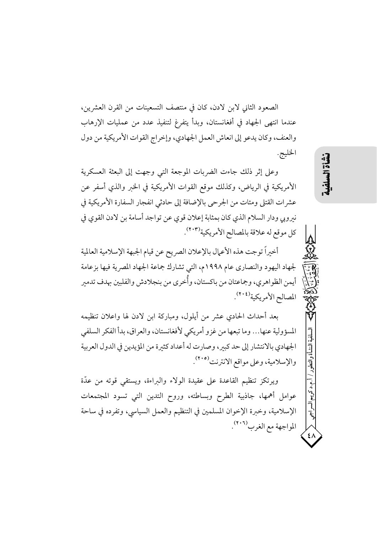الصعود الثاني لابن لادن، كان في منتصف التسعينات من القرن العشرين، عندما انتهى الجهاد في أفغانستان، وبدأ يتفرغ لتنفيذ عدد من عمليات الإرهاب والعنف، وكان يدعو إلى انعاش العمل الجهادي، وإخراج القوات الأمريكية من دول الخليج.

وعلى إثر ذلك جاءت الضربات الموجعة التي وجهت إلى البعثة العسكرية الأمريكية في الرياض، وكذلك موقع القوات الأمريكية في الخبر والذي أسفر عن عشرات القتلى ومئات من الجرحي بالإضافة إلى حادثي انفجار السفارة الأمريكية في نبرويي ودار السلام الذي كان بمثابة إعلان قوى عن تواجد أسامة بن لادن القوى في كل موقع له علاقة بالمصالح الأمريكية'٢٠٣).

أخيراً توجت هذه الأعمال بالإعلان الصريح عن قيام الجبهة الإسلامية العالمية لجهاد اليهود والنصاري عام ١٩٩٨م، التي تشارك جماعة الجهاد المصرية فيها بزعامة أيمن الظواهري، وجماعتان من باكستان، وأُخرى من بنجلادش والفلبين بهدف تدمير المصالح الأمريكية (٢٠٤).

بعد أحداث الحادي عشر من أيلول، ومباركة ابن لادن لها واعلان تنظيمه المسؤولية عنها… وما تبعها من غزو أمريكي لأفغانستان، والعراق، بدأ الفكر السلفى الجهادي بالانتشار إلى حد كبير، وصارت له أعداد كثيرة من المؤيدين في الدول العربية والإسلامية، وعلى مواقع الانترنت(٢٠٥).

ويرتكز تنظيم القاعدة على عقيدة الولاء والبراءة، ويستقى قوته من عدّة عوامل أهمها، جاذبية الطرح وبساطته، وروح التدين التي تسود المجتمعات الإسلامية، وخبرة الإخوان المسلمين في التنظيم والعمل السياسي، وتفرده في ساحة المواجهة مع الغرب (٢٠٦).

 $\xi \wedge$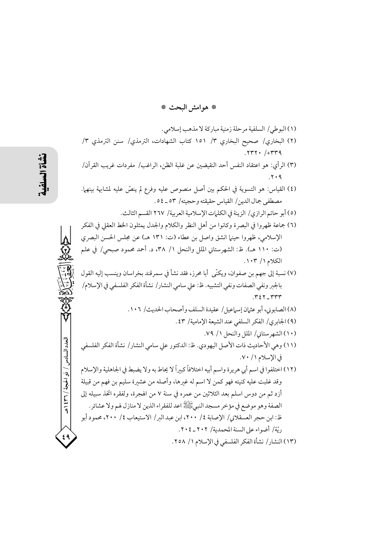\* هوامش البحث \*

(١) البوطي/ السلفية مرحلة زمنية مباركة لا مذهب إسلامي. (٢) البخاري/ صحيح البخاري ٣/ ١٥١ كتاب الشهادات، الترمذي/ سنن الترمذي ٣/  $.777. / +779$ (٣) الرأى: هو اعتقاد النفس أحد النقيضين عن غلبة الظن، الراغب/ مفردات غريب القرآن/  $.7.9$ (٤) القياس: هو التسوية في الحكم بين أصل منصوص عليه وفرع لم ينصُّ عليه لمشابهة بينهم]. مصطفى جمال الدين/ القياس حقيقته وحجيته/ ٥٣ ـ ٥٤ . (٥) أبو حاتم الرازي/ الزينة في الكليات الإسلامية العربية/ ٢٦٧ القسم الثالث. (٦) جماعة ظهروا في البصرة وكانوا من أهل النظر والكلام والجدل يمثلون الخط العقلي في الفكر الإسلامي، ظهروا حينها انشق واصل بن عطاء (ت: ١٣١ هـ) عن مجلس الحسن البصري (ت: ١١٠ هـ). ظ: الشهرستاني الملل والنحل ١/ ٣٨، د. أحمد محمود صبحي/ في علم الكلام ١ / ١٠٣. (٧) نسبة إلى جهم بن صفوان، ويكنّي أبا محرز، فقد نشأ في سمرقند بخراسان وينسب إليه القول بالجير ونفي الصفات ونفي التشبيه. ظ: على سامي النشار/ نشأة الفكر الفلسفي في الإسلام/  $.$ ۳٤٢-۳۳۳ (٨) الصابوني، أبو عثمان إسماعيل/ عقيدة السلف وأصحاب الحديث/ ١٠٦. (٩) الجابري/ الفكر السلفي عند الشيعة الإمامية/ ٤٣. (١٠) الشهرستاني/ الملل والنحل ١/ ٧٩. (١١) وهي الأحاديث ذات الأصل اليهودي. ظ: الدكتور على سامي النشار/ نشأة الفكر الفلسفي في الإسلام ٧٠/ ٧٠. (١٢) اختلفوا في اسم أبي هريرة واسم أبيه اختلافاً كبيراً لا يحاط به ولا يضبط في الجاهلية والإسلام وقد غلبت عليه كنيته فهو كمن لا اسم له غيرها، وأصله من عشيرة سليم بن فهم من قبيلة أزد ثم من دوس اسلم بعد الثلاثين من عمره في سنة ٧ من الهجرة، ولفقره اتخذ سبيله إلى الصفة وهو موضع في مؤخر مسجد النبيﷺ اعد للفقراء الذين لا منازل لهم ولا عشائر . ظ: ابن حجر العسقلاني/ الإصابة ٤/ ٢٠٠، ابن عبد البر/ الاستيعاب ٤/ ٢٠٠، محمود أبو ريَّة/ أضواء على السنة المحمدية/ ٢٠٢ \_ ٢٠٤. (١٣) النشار/ نشأة الفكر الفلسفي في الإسلام ١/ ٢٥٨.

العدد السادس / ذو الحجة / ٣٦ / ٤٣٩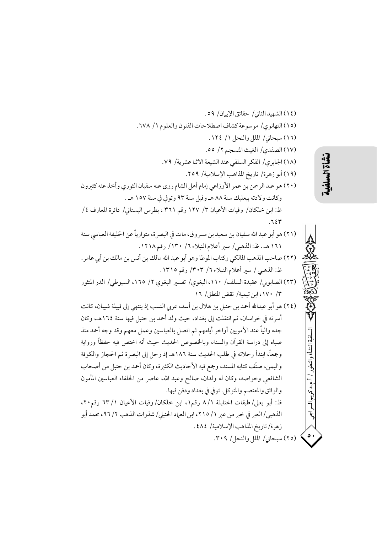ł.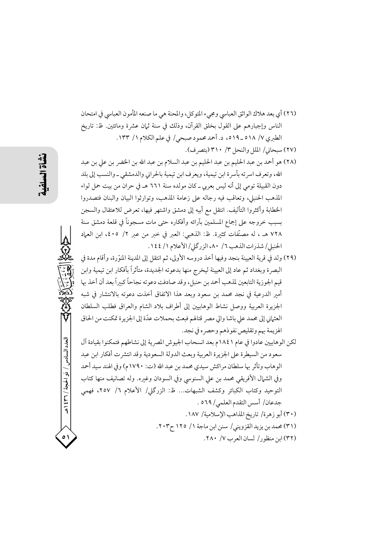(٢٦) أي بعد هلاك الواثق العباسي ومجيء المتوكل، والمحنة هي ما صنعه المأمون العباسي في امتحان الناس وإجبارهم على القول بخلق القرآن، وذلك في سنة ثمان عشرة ومائتين. ظ: تاريخ الطبري ٧/ ٥١٨ ـ ٥١٩، د. أحمد محمود صبحي/ في علم الكلام ١/ ١٣٣. (٢٧) سبحاني/ الملل والنحل ٣/ ٣١٠ (بتصرف).

- (٢٨) هو أحمد بن عبد الحليم بن عبد الحليم بن عبد السلام بن عبد الله بن الخضر بن على بن عبد الله، وتعرف اسرته بأسرة ابن تيمية، ويعرف ابن تيمية بالحراني والدمشقى ـ والنسب إلى بلد دون القبيلة تومي إلى أنه ليس بعربي ـ كان مولده سنة ٦٦١ هـ في حران من بيت حمل لواء المذهب الحنبلي، وتعاقب فيه رجاله على زعامة المذهب، وتوارثوا البيان والبنان فتصدروا الخطابة وأكثروا التأليف. انتقل مع أبيه إلى دمشق واشتهر فيها، تعرض للاعتقال والسجن بسبب خروجه على إجماع المسلمين بآرائه وأفكاره حتى مات مسجوناً في قلعة دمشق سنة ٧٢٨ هـ ، له مصنَّفات كثيرة. ظ: الذهبي: العبر في خبر من عبر ٢/ ٤٠٥، ابن العماد الحنبلي/ شذرات الذهب ٦/ ٨٠، الزركلي/ الأعلام ١/ ١٤٤.
- (٢٩) ولد في قرية العيينة بنجد وفيها أخذ دروسه الأولى، ثم انتقل إلى المدينة المنوَّرة، وأقام مدة في البصرة وبغداد ثم عاد إلى العيينة ليخرج منها بدعوته الجديدة، متأثراً بأفكار ابن تيمية وابن قيم الجوزية التابعين لمذهب أحمد بن حنبل، وقد صادفت دعوته نجاحاً كبيراً بعد أن أخذ بها أمير الدرعية في نجد محمد بن سعود وبعد هذا الاتفاق أخذت دعوته بالانتشار في شبه الجزيرة العربية ووصل نشاط الوهابيين إلى أطراف بلاد الشام والعراق فطلب السلطان العثماني إلى محمد علي باشا والي مصر قتالهم فبعث بحملات عدّة إلى الجزيرة تمكنت من الحاق الهزيمة بهم وتقليص نفوذهم وحصره في نجد. لكن الو هابيين عادوا في عام ١٨٤١م بعد انسحاب الجيوش المصرية إلى نشاطهم فتمكنوا بقيادة آل
- سعود من السيطرة على الجزيرة العربية وبعث الدولة السعودية وقد انتشرت أفكار ابن عبد الوهاب وتأثر بها سلطان مراكش سيدي محمد بن عبد الله (ت: ١٧٩٠م) وفي الهند سيد أحمد وفي الشهال الأفريقي محمد بن على السنوسي وفي السودان وغيره. وله تصانيف منها كتاب التوحيد وكتاب الكبائر وكشف الشبهات... ظ: الزرگلي/ الأعلام ٦/ ٢٥٧، فهمي جدعان/ أسس التقدم العلمي/ ٥٦٩ . (٣٠) أبو زهرة/ تاريخ المذاهب الإسلامية/ ١٨٧. (٣١) محمد بن يزيد القزويني/ سنن ابن ماجة ١/ ١٢٥ ح٢٠٣. (٣٢) ابن منظور/ لسان العرب ٢٨٠ ٢٨٠.

العدد السادس / ذو الحجة / ٣٦٦ / هـ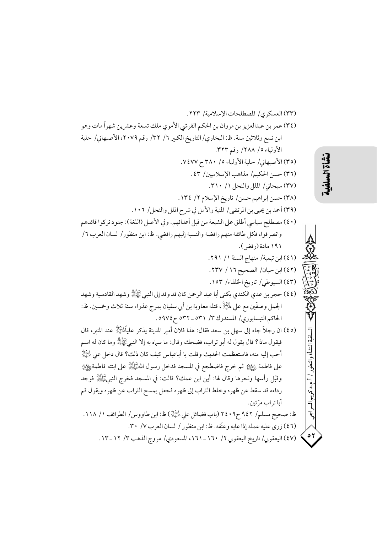نشأة السلفية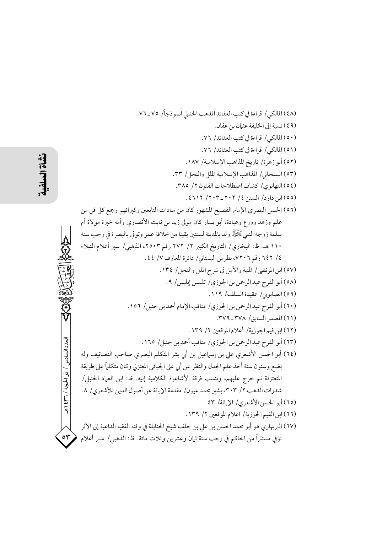(٤٨) المالكي/ قراءة في كتب العقائد المذهب الحنبلي انمو ذجاً/ ٧٥\_٧٦. (٤٩) نسبة إلى الخليفة عثمان بن عفان. (٥٠) المالكي/ قراءة في كتب العقائد/ ٧٦. (٥١) المالكي/ قراءة في كتب العقائد/ ٧٦. (٥٢) أبو زهرة/ تاريخ المذاهب الإسلامية/ ١٨٧. (٥٣) السبحاني/ المذاهب الإسلامية الملل والنحل/ ٣٣. (٥٤) التهانوي/ كشاف اصطلاحات الفنون ٢/ ٣٨٥. (٥٥) ابن داود/ السنن ٤/ ٢٠٢\_٢٠٣/ ٢١٢٤. (٥٦) الحسن البصري الإمام الفصيح المشهور كان من سادات التابعين وكبرائهم وجمع كل فن من علم وزهد وورع وعبادة، أبو يسار كان مولى زيد بن ثابت الأنصاري وأمه خيرة مولاة أم سلمة زوجة النبي ﷺ ولد بالمدينة لسنتين بقينا من خلافة عمر وتوفي بالبصرة في رجب سنة ١١٠ هـ. ظ: البخاري/ التاريخ الكبير ٢/ ٢٧٢ رقم ٢٥٠٣، الذهبي/ سير أعلام النبلاء ٤/ ٦٤٢ رقم ٧٢٠٦، بطرس البستاني/ دائرة المعارف ٧/ ٤٤. (٥٧) ابن المرتضى/ المنية والأمل في شرح الملل والنحل/ ١٣٤. (٥٨) أبو الفرج عبد الرحمن بن الجوزي/ تلبيس إبليس/ ٩. (٥٩) الصابوني/ عقيدة السلف/ ١١٩. (٦٠) أبو الفرج عبد الرحمن بن الجوزي/ مناقب الإمام أحمد بن حنبل/ ١٥٦. (٦١) المصدر السابق/ ٣٧٨\_٣٧٩. (٦٢) ابن قيم الجوزية/ أعلام الموقعين ٢/ ١٣٩. (٦٣) أبو الفرج عبد الرحمن بن الجوزي/ مناقب أحمد بن حنبل/ ١٦٥. (٦٤) أبو الحسن الأشعري على بن إسهاعيل بن أبي بشر المتكلم البصري صاحب التصانيف وله بضع وستون سنة أخذ علم الجدل والنظر عن أبي على الجبائي المعتزلي وكان متكلماً على طريقة المتعتزلة ثم خرج عليهم، وتنسب فرقة الأشاعرة الكلامية إليه. ظ: ابن العماد الحنبلي/ شذرات الذهب ٢/ ٣٠٣، بشير محمد عيون/ مقدمة الإبانة عن أصول الدين للأشعري/ ٨. (٦٥) أبو الحسن الأشعري/ الإبانة/ ٤٣. (٦٦) ابن القيم الجوزية/ اعلام الموقعين ٢/ ١٣٩. (٦٧) البربهاري هو أبو محمد الحسن بن علي بن خلف شيخ الحنابلة في وقته الفقيه الداعية إلى الأثر توفي مستتراً من الحاكم في رجب سنة ثبان وعشرين وثلاث مائة. ظ: الذهبي/ سير أعلام

لعدد السادس / ذو الحجة / ٣٦٦ هـ

 $\circ \tau$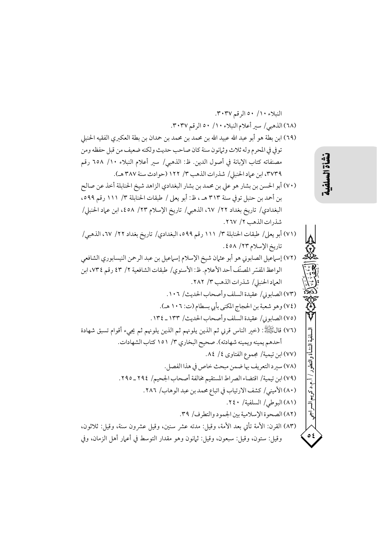نشأة السلفية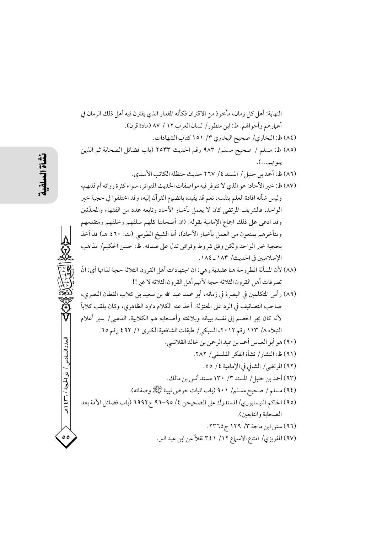النهاية: أهل كل زمان، مأخو ذ من الاقتران فكأنه المقدار الذي يقترن فيه أهل ذلك الزمان في أعمارهم وأحوالهم. ظ: ابن منظور/ لسان العرب ١٢ / ٨٧ (مادة قرن). (٨٤) ظ: البخاري/ صحيح البخاري ٣/ ١٥١ كتاب الشهادات. (٨٥) ظ: مسلم / صحيح مسلم/ ٩٨٣ رقم الحديث ٢٥٣٣ (باب فضائل الصحابة ثم الذين يلونهم...). (٨٦) ظ: أحمد بن حنبل / المسند ٤/ ٢٦٧ حديث حنظلة الكاتب الأسدى. (٨٧) ظ: خبر الأحاد: هو الذي لا تتوفر فيه مواصفات الحديث المتواتر، سواء كثرة رواته أم قلتهم، وليس شأنه افادة العلم بنفسه، نعم قد يفيده بانضهام القرآن إليه، وقد اختلفوا في حجية خبر الواحد، فالشريف المرتضى كان لا يعمل بأخبار الآحاد وتابعه عدد من الفقهاء والمحدِّثين وقد ادعى على ذلك اجماع الإمامية بقوله: (ان أصحابنا كلهم سلفهم وخلفهم ومتقدمهم ومتأخرهم يمنعون من العمل بأخبار الآحاد)، أما الشيخ الطوسي (ت: ٤٦٠ هـ) قد أخذ بحجية خبر الواحد ولكن وفق شروط وقرائن تدل على صدقه. ظ: حسن الحكيم/ مذاهب الإسلاميين في الحديث/ ١٨٣ \_١٨٤. (٨٨) لأن المسألة المطروحة هنا عقيدية وهي: ان اجتهادات أهل القرون الثلاثة حجة لذاتها أي: انَّ تصر فات أهل القرون الثلاثة حجة لأنهم أهل القرون الثلاثة لا غبر!! (٨٩) رأس المتكلمين في البصرة في زمانه، أبو محمد عبد الله بن سعيد بن كلاب القطان البصري، صاحب التصانيف في الرد على المعتزلة. أخذ عنه الكلام داود الظاهري، وكان يلقب كلاباً لأنه كان يجر الخصم إلى نفسه ببيانه وبلاغته وأصحابه هم الكلابية. الذهبي/ سير أعلام النبلاء ٨/ ١١٣ رقم ٢٠١٢، السبكي/ طبقات الشافعية الكبرى ١/ ٤٩٢ رقم ٢٥. العدد السادس (٩٠) هو أبو العباس أحمد بن عبد الرحمن بن خالد القلانسي. (٩١) ظ: النشار/ نشأة الفكر الفلسفي/ ٢٨٢. (٩٢) المرتضى/ الشافي في الإمامية ٤/ ٥٥. (٩٣) أحمد بن حنبل/ المسند ٣/ ١٣٠ مسند أنس بن مالك. (٩٤) مسلم / صحيح مسلم/ ٩٠١ (باب اثبات حوض نبينا ﷺ وصفاته). (٩٥) الحاكم النيسابوري/المستدرك على الصحيحن ٤/ ٩٥-٩٦ ح١٩٩٢ (باب فضائل الأمة بعد الصحابة والتابعين). (۹٦) سنن ابن ماجة ٣/ ١٢٩ ح١٣٦٤. (٩٧) المقريزي/ امتاع الاسماع ١٢/ ٣٤١ نقلاً عن ابن عبد البر.

/ ذه الحصة / ٢٦٦ مد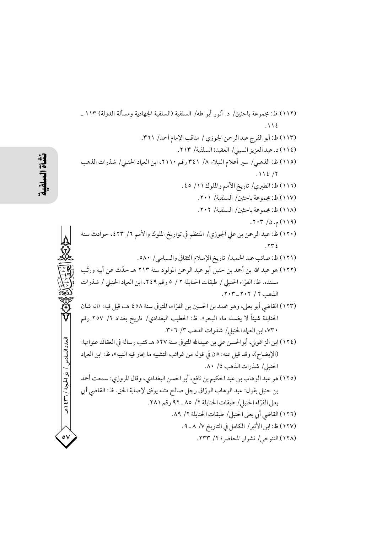(١١٢) ظ: مجموعة باحثين/ د. أنور أبو طه/ السلفية (السلفية الجهادية ومسألة الدولة) ١١٣ \_  $.115$ (١١٣) ظ: أبو الفرج عبد الرحمن الجوزي / مناقب الإمام أحمد/ ٣٦١. (١١٤) د. عبد العزيز السيلي/ العقيدة السلفية/ ٢١٣. (١١٥) ظ: الذهبي/ سير أعلام النبلاء ٨/ ٣٤١ رقم ٢١١٠، ابن العماد الحنبلي/ شذرات الذهب  $.112 / 7$ (١١٦) ظ: الطبري/ تاريخ الأمم والملوك ١١/ ٤٥. (١١٧) ظ: مجموعة باحثين/ السلفية/ ٢٠١. (١١٨) ظ: مجموعة باحثين/ السلفية/ ٢٠٢.  $(119)$ م. ن/ ۲۰۳. (١٢٠) ظ: عبد الرحمن بن على الجوزي/ المنتظم في تواريخ الملوك والأمم ٦/ ٤٢٣، حوادث سنة  $.772$ (١٢١) ظ: صائب عبد الحميد/ تاريخ الإسلام الثقافي والسياسي/ ٥٨٠. (١٢٢) هو عبد الله بن أحمد بن حنبل أبو عبد الرحمن المولود سنة ٢١٣ هـ حدّث عن أبيه ورتّب مسنده. ظ: الفرّاء الحنبلي / طبقات الحنابلة ٢ / ٥ رقم ٢٤٩، ابن العماد الحنبلي / شذرات الذهب ٢ / ٢٠٢-٢٠٣. (١٢٣) القاضي أبو يعلي، وهو محمد بن الحسين بن الفرّاء، المتوفى سنة ٤٥٨ هـ، قيل فيه: «انه شان الحنابلة شيناً لا يغسله ماء البحر». ظ: الخطيب البغدادي/ تاريخ بغداد ٢/ ٢٥٧ رقم ٧٣٠، ابن العباد الحنبلي/ شذرات الذهب ٣/ ٣٠٦. (١٢٤) ابن الزاغو ني، أبوالحسن على بن عبيدالله المتو في سنة ٥٢٧ هـ كتب رسالة في العقائد عنوانها: (الإيضاح)، وقد قيل عنه: «ان في قوله من غرائب التشبيه ما يحار فيه النبيه»، ظ: ابن العماد الحنبلي/ شذرات الذهب ٤/ ٨٠. (١٢٥) هو عبد الوهاب بن عبد الحكيم بن نافع، أبو الحسن البغدادي، وقال المروزي: سمعت أحمد بن حنبل يقول: عبد الوهاب الورّاق رجل صالح مثله يوفق لإصابة الحق. ظ: القاضي أبي يعلى الفرّاء الحنبلي/ طبقات الحنابلة ٢/ ٨٥\_٩٢ رقم ٢٨١. (١٢٦) القاضي أبي يعلى الحنبلي/ طبقات الحنابلة ٢/ ٨٩. (١٢٧) ظ: ابن الأثير/ الكامل في التاريخ ٧/ ٨\_٩. (١٢٨) التنوخي/ نشوار المحاضرة ٢/ ٢٣٣.

العدد السادس / ذو الحجة / ٣٦ ٤ هـ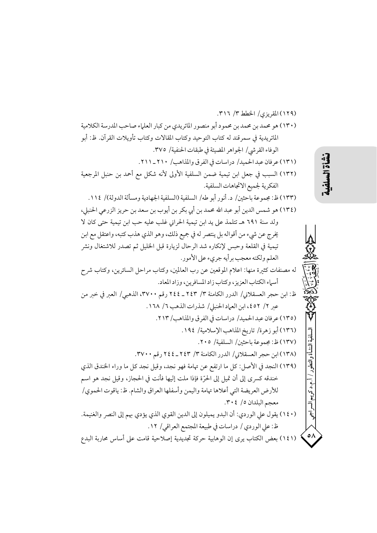نشأة السلفية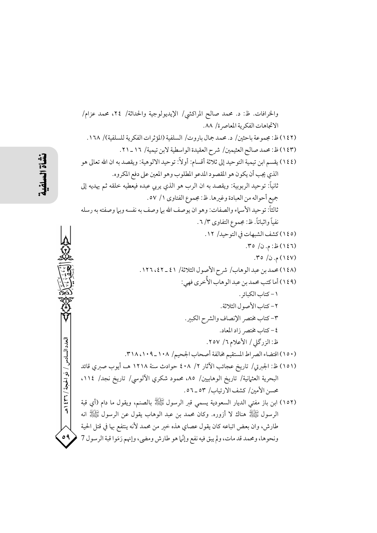والخرافات. ظ: د. محمد صالح المراكشي/ الإيديولوجية والحداثة/ ٢٤، محمد عزام/ الاتجاهات الفكرية المعاصرة/ ٨٨. (١٤٢) ظ: مجموعة باحثين/ د. محمد جمال باروت/ السلفية (المؤثرات الفكرية للسلفية)/ ١٦٨. (١٤٣) ظ: محمد صالح العثيمين/ شرح العقيدة الواسطية لابن تيمية/ ١٦ \_ ٢١. (١٤٤) يقسم ابن تيمية التوحيد إلى ثلاثة أقسام: أولاً: توحيد الالوهية: ويقصد به ان الله تعالى هو الذي يجب أن يكون هو المقصود المدعو المطلوب وهو المعين على دفع المكروه. ثانياً: توحيد الربوبية: ويقصد به ان الرب هو الذي يربي عبده فيعطيه خلقه ثم يهديه إلى جميع أحواله من العبادة وغيرها. ظ: مجموع الفتاوي ١/ ٥٧. ثالثاً: توحيد الأسهاء والصفات: وهو ان يوصف الله بها وصف به نفسه وبها وصفته به رسله نفياً واثباتاً. ظ: مجموع التفاوي ٣/ ٦. (١٤٥) كشف الشبهات في التوحيد/ ١٢. (١٤٦) ظ: م. ن/ ٣٥. .۳٥  $/$ ن/ ٣٥. (١٤٨) محمد بن عبد الوهاب/ شرح الأصول الثلاثة/ ٤١ ـ ١٢٦، ١٢٦. (١٤٩) أما كتب محمد بن عبد الوهاب الأُخرى فهي: ١ - كتاب الكبائر . ٢ - كتاب الأصول الثلاثة. ٣- كتاب مختصر الإنصاف والشرح الكبير. ٤-كتاب مختصر زاد المعاد. ظ: الزرگلي/ الأعلام ٦/ ٢٥٧. (١٥٠) اقتضاء الصراط المستقيم مخالفة أصحاب الجحيم/ ١٠٨\_٢١٨،١٠٩. (١٥١) ظ: الجبرتي/ تاريخ عجائب الآثار ٢/ ٤٠٨ حوادث سنة ١٢١٨ هـ، أيوب صبري قائد البحرية العثمانية/ تاريخ الوهابيين/ ٨٥، محمود شكري الآلوسي/ تاريخ نجد/ ١١٤، محسن الأمين/ كشف الارتياب/ ٥٣ ـ ٥٦. (١٥٢) ابن باز مفتى الديار السعودية يسمى قبر الرسول ﷺ بالصنم، ويقول ما دام (أي قبة الرسول ﷺ هناك لا أزوره. وكان محمد بن عبد الوهاب يقول عن الرسول ﷺ انه طارش، وان بعض اتباعه كان يقول عصاي هذه خير من محمد لأنه ينتفع بها في قتل الحية ونحوها، ومحمد قد مات، ولم يبق فيه نفع وإنَّما هو طارش ومضي، وإنهم رَمَوا قبة الرسول 7

لعدد السادس / ذو الحجة / ٣٦٦ هـ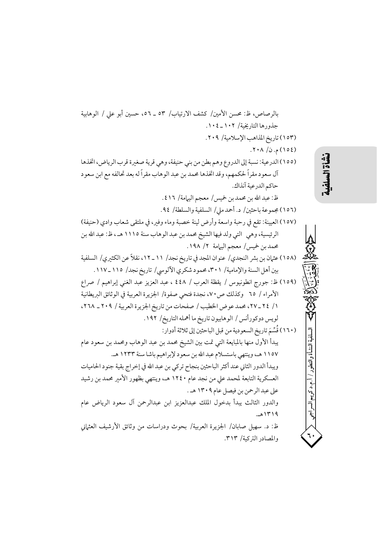بالرصاص، ظ: محسن الأمين/ كشف الارتياب/ ٥٣ ـ ٥٦، حسين أبو على / الوهابية جذورها التاريخية/ ١٠٢ \_ ١٠٤. (١٥٣) تاريخ المذاهب الإسلامية/ ٢٠٩.  $(301)$ م. ن/ ۲۰۸. (١٥٥) الدرعية: نسبة إلى الدروع وهم بطن من بني حنيفة، وهي قرية صغيرة قرب الرياض، اتخذها آل سعود مقراً لحكمهم، وقد اتخذها محمد بن عبد الوهاب مقراً له بعد تحالفه مع ابن سعود حاكم الدرعية آنذاك. ظ: عبد الله بن محمد بن خميس/ معجم اليهامة/ ٤١٦ . (١٥٦) مجموعة باحثين/ د. أحمد ملي/ السلفية والسلطة/ ٩٤. (١٥٧) العيينة: تقع في رحبة واسعة وأرض لينة خصبة وماء وفير، في ملتقى شعاب وادي (حنيفة) الرئيسية، وهي التي ولد فيها الشيخ محمد بن عبد الوهاب سنة ١١١٥ هـ ، ظ: عبد الله بن محمد بن خميس/ معجم اليهامة ٢/ ١٩٨. (١٥٨) عثمان بن بشر النجدي/ عنوان المجد في تاريخ نجد/ ١١ ـ ١٢، نقلاً عن الكثيري/ السلفية بين أهل السنة والإمامية/ ٣٠١، محمود شكري الآلوسي/ تاريخ نجد/ ١١٥\_١١٧. (١٥٩) ظ: جورج انطونيوس / يقظة العرب / ٤٤٨ ، عبد العزيز عبد الغني إبراهيم / صراع الأمراء / ٦٥ وكذلك ص٣٠، نجدة فتحي صفوة/ الجزيرة العربية في الوثائق البريطانية ١/ ٢٤ ـ ٢٧، محمد عوض الخطيب / صفحات من تاريخ الجزيرة العربية / ٢٠٩ ـ ٢٦٨، لويس دوكورأنس / الوهابيون تاريخ ما أهمله التاريخ/ ١٩٢. (١٦٠) قُسِّمَ تاريخ السعودية من قبل الباحثين إلى ثلاثة أدوار: يبدأ الأول منها بالمبايعة التي تمت بين الشيخ محمد بن عبد الوهاب ومحمد بن سعود عام ١١٥٧ هــ، وينتهي باستسلام عبدالله بن سعود لإبراهيم باشا سنة ١٢٣٣ هـ. ويبدأ الدور الثاني عند أكثر الباحثين بنجاح تركي بن عبد الله في إخراج بقية جنود الحاميات العسكرية التابعة لمحمد على من نجد عام ١٢٤٠ هـ، وينتهي بظهور الأمير محمد بن رشيد على عبد الرحمن بن فيصل عام ١٣٠٩ هـ . والدور الثالث يبدأ بدخول الملك عبدالعزيز ابن عبدالرحمن آل سعود الرياض عام  $-21719$ ظ: د. سهيل صابان/ الجزيرة العربية/ بحوث ودراسات من وثائق الأرشيف العثماني والمصادر التركية/ ٣١٣.

نشأة السلف

لسلفية النشأة والتطور / أ.م.د كريم السه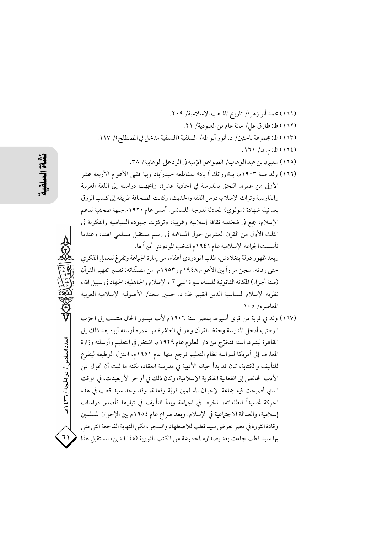(١٦١) محمد أبو زهرة/ تاريخ المذاهب الإسلامية/ ٢٠٩. (١٦٢) ظ: طارق على/ مائة عام من العبودية/ ٢١. (١٦٣) ظ: مجموعة باحثين/ د. أنور أبو طه/ السلفية (السلفية مدخل في المصطلح)/ ١١٧. (١٦٤) ظ: م. ن/ ١٦١. (١٦٥) سليهان بن عبد الو هاب/ الصواعق الإلهية في الرد على الو هابية/ ٣٨. (١٦٦) ولد سنة ١٩٠٣م، بـ«اورانك آ باد» بمقاطعة حيدرآباد وبها قضي الأعوام الأربعة عشر الأولى من عمره. التحق بالمدرسة في الحادية عشرة، واتجهت دراسته إلى اللغة العربية والفارسية وتراث الإسلام، درس الفقه والحديث، وكانت الصحافة طريقه إلى كسب الرزق بعد نيله شهادة (مولوي) المعادلة لدرجة اللسانس. أسس عام ١٩٢٠م جبهة صحفية لدعم الإسلام، جمع في شخصه ثقافة إسلامية وغربية، وتركزت جهوده السياسية والفكرية في الثلث الأول من القرن العشرين حول المساهمة في رسم مستقبل مسلمي الهند، وعندما تأسست الجماعة الإسلامية عام ١٩٤١م انتخب المودودي أميراً لها. وبعد ظهور دولة بنغلادش، طلب المودودي أعفاءه من إمارة الجماعة وتفرغ للعمل الفكري حتى وفاته. سجن مراراً بين الأعوام ١٩٤٨م و١٩٥٣م. من مصنّفاته: تفسير تفهيم القرآن (ستة أجزاء) المكانة القانونية للسنة، سيرة النبي 7 ، الإسلام والجاهلية، الجهاد في سبيل الله، نظرية الإسلام السياسية الدين القيم. ظ: د. حسين سعد/ الأصولية الإسلامية العربية المعاصرة/ ١٠٥. (١٦٧) ولد في قرية من قرى أسيوط بمصر سنة ١٩٠٦م لأب ميسور الحال منتسب إلى الحزب

الوطني، أدخل المدرسة وحفظ القرآن وهو في العاشرة من عمره أرسله أبوه بعد ذلك إلى القاهرة ليتم دراسته فتخرَّج من دار العلوم عام ١٩٢٩م، اشتغل في التعليم وأرسلته وزارة المعارف إلى أمريكا لدراسة نظام التعليم فرجع منها عام ١٩٥١م، اعتزل الوظيفة ليتفرغ للتأليف والكتابة، كان قد بدأ حياته الأدبية في مدرسة العقاد، لكنه ما لبث أن تحول عن الأدب الخالص إلى الفعالية الفكرية الإسلامية، وكان ذلك في أواخر الأربعينات، في الوقت الذي أصبحت فيه جماعة الإخوان المسلمين قويّة وفعالة، وقد وجد سيد قطب في هذه الحركة تجسيداً لتطلعاته، انخرط في الجماعة وبدأ التأليف في تيارها فأصدر دراسات إسلامية، والعدالة الاجتهاعية في الإسلام. وبعد صراع عام ١٩٥٤م بين الإخوان المسلمين وقادة الثورة في مصر تعرض سيد قطب للاضطهاد والسجن، لكن النهاية الفاجعة التي مني بها سيد قطب جاءت بعد إصداره لمجموعة من الكتب الثورية (هذا الدين، المستقبل لهذا

العدد السادس / ذو الحجة / ٣٦٦ هـ

 $\mathcal{L}$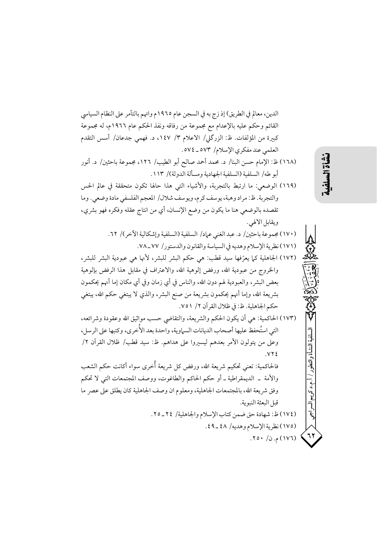الدين، معالم في الطريق) إذ زج به في السجن عام ١٩٦٥م واتهم بالتآمر على النظام السياسي القائم وحكم عليه بالإعدام مع مجموعة من رفاقه ونفذ الحكم عام ١٩٦٦م، له مجموعة كبيرة من المؤلفات. ظ: الزرگلي/ الاعلام ٣/ ١٤٧، د. فهمي جدعان/ أسس التقدم العلمي عند مفكري الإسلام/ ٥٧٣\_٥٧٤. (١٦٨) ظ: الإمام حسن البنا/ د. محمد أحمد صالح أبو الطيب/ ١٢٦، مجموعة باحثين/ د. أنور أبو طه/ السلفية (السلفية الجهادية ومسألة الدولة)/ ١١٣. (١٦٩) الوضعي: ما ارتبط بالتجربة، والأشياء التي هذا حالها تكون متحققة في عالم الحس والتجربة. ظ: مراد وهبة، يوسف كرم، ويوسف شلال/ المعجم الفلسفي مادة وضعي. وما تقصده بالوضعي هنا ما يكون من وضع الإنسان، أي من انتاج عقله وفكره فهو بشري، ويقابل الالهي. (١٧٠) مجموعة باحثين/ د. عبد الغني عياد/ السلفية (السلفية وإشكالية الآخر )/ ٦٢. (١٧١) نظرية الإسلام وهديه في السياسة والقانون والدستور/ ٧٧\_٧٨. (١٧٢) الجاهلية كما يعرِّفها سيد قطب: هي حكم البشر للبشر، لأنها هي عبودية البشر للبشر، والخروج من عبودية الله، ورفض إلوهية الله، والاعتراف في مقابل هذا الرفض بإلوهية بعض البشر، والعبودية لهم دون الله، والناس في أي زمان وفي أي مكان إما أنهم يحكمون بشريعة الله، وإما أنهم يحكمون بشريعة من صنع البشر، والذي لا يبتغي حكم الله، يبتغي حكم الجاهلية. ظ: في ظلال القرآن ٢/ ٧٥١. (١٧٣) الحاكمية: هي أن يكون الحكم والشريعة، والتقاضي حسب مواثيق الله وعقودة وشرائعه، التي استُحفظ عليها أصحاب الديانات السماوية، واحدة بعد الأُخرى، وكتبها على الرسل، لسلفية النشأة والتطور ا وعلى من يتولون الأمر بعدهم ليسىروا على هداهم. ظ: سيد قطب/ ظلال القرآن ٢/  $VY$ فالحاكمية: تعني تحكيم شريعة الله، ورفض كل شريعة أُخرى سواء أكانت حكم الشعب والأمة \_ الديمقراطية \_ أو حكم الحاكم والطاغوت، ووصف المجتمعات التي لا تحكم ا .م.د کر یم السر وفق شريعة الله، بالمجتمعات الجاهلية، ومعلوم ان وصف الجاهلية كان يطلق على عصر ما قبل البعثة النبوية. (١٧٤) ظ: شهادة حق ضمن كتاب الإسلام والجاهلية/ ٢٤\_٢٥. (١٧٥) نظرية الإسلام وهديه/ ٤٨\_٤٩. . ٢٥٠ / ٥٠ / ٢٥٠.

نَشَأة السلف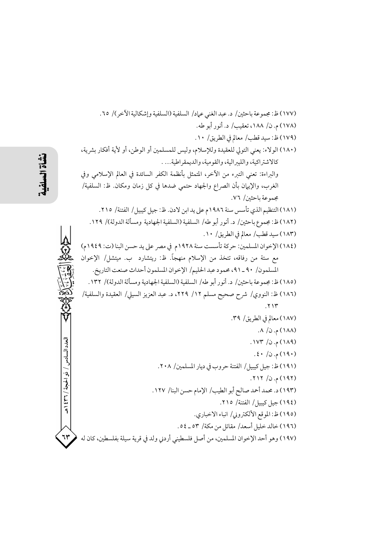(١٧٧) ظ: مجموعة باحثين/ د. عبد الغني عماد/ السلفية (السلفية وإشكالية الآخر)/ ٦٥. (١٧٨) م. ن/ ١٨٨، تعقيب/ د. أنور أبو طه. (١٧٩) ظ: سيد قطب/ معالم في الطريق/ ١٠. (١٨٠) الولاء: يعني التولي للعقيدة وللإسلام، وليس للمسلمين أو الوطن، أو لأية أفكار بشرية، كالاشتراكية، والليبرالية، والقومية، والديمقراطية... . والبراءة: تعني التبرء من الآخر، المتمثل بأنظمة الكفر السائدة في العالم الإسلامي وفي الغرب، والإيهان بأن الصراع والجهاد حتمي ضدها في كل زمان ومكان. ظ: السلفية/ مجموعة باحثين/ ٧٦. (١٨١) التنظيم الذي تأسس سنة ١٩٨٦م على يد ابن لادن. ظ: جيل كيبيل/ الفتنة/ ٢١٥. (١٨٢) ظ: مجموع باحثين/ د. أنور أبو طه/ السلفية (السلفية الجهادية ومسألة الدولة)/ ١٢٩. (١٨٣) سيد قطب/ معالم في الطريق/ ١٠. (١٨٤) الإخوان المسلمين: حركة تأسست سنة ١٩٢٨م في مصر على يد حسن البنا (ت: ١٩٤٩م) مع ستة من رفاقه، تتخذ من الإسلام منهجاً. ظ: ريتشارد ب. ميتشل/ الإخوان المسلمون/ ٩٠ \_٩١، محمود عبد الحليم/ الإخوان المسلمون أحداث صنعت التاريخ. (١٨٥) ظ: مجموعة باحثين/ د. أنور أبو طه/ السلفية (السلفية الجهادية ومسألة الدولة)/ ١٣٢. (١٨٦) ظ: النووي/ شرح صحيح مسلم ١٢/ ٢٢٩، د. عبد العزيز السيلي/ العقيدة والسلفية/  $.714$ (١٨٧) معالم في الطريق/ ٣٩. (١٨٨) م. ن/ ٨. (١٨٩) م. ن/ ١٧٣.  $(19)$ م. ن/ ٤٠. (١٩١) ظ: جيل كيبيل/ الفتنة حروب في ديار المسلمين/ ٢٠٨. (۱۹۲) م. ن/ ۲۱۲. (١٩٣) د. محمد أحمد صالح أبو الطيب/ الإمام حسن البنا/ ١٢٧. (١٩٤) جيل كيبيل/ الفتنة/ ٢١٥. (١٩٥) ظ: الموقع الألكتروني/ انباء الاخباري. (١٩٦) خالد خليل أسعد/ مقاتل من مكة/ ٥٣- ٥٤. (١٩٧) وهو أحد الإخوان المسلمين، من أصل فلسطيني أردني ولد في قرية سيلة بفلسطين، كان له

زلعدد السادس / ذو الحجة / ٢٦٦ / هـ

٦٣